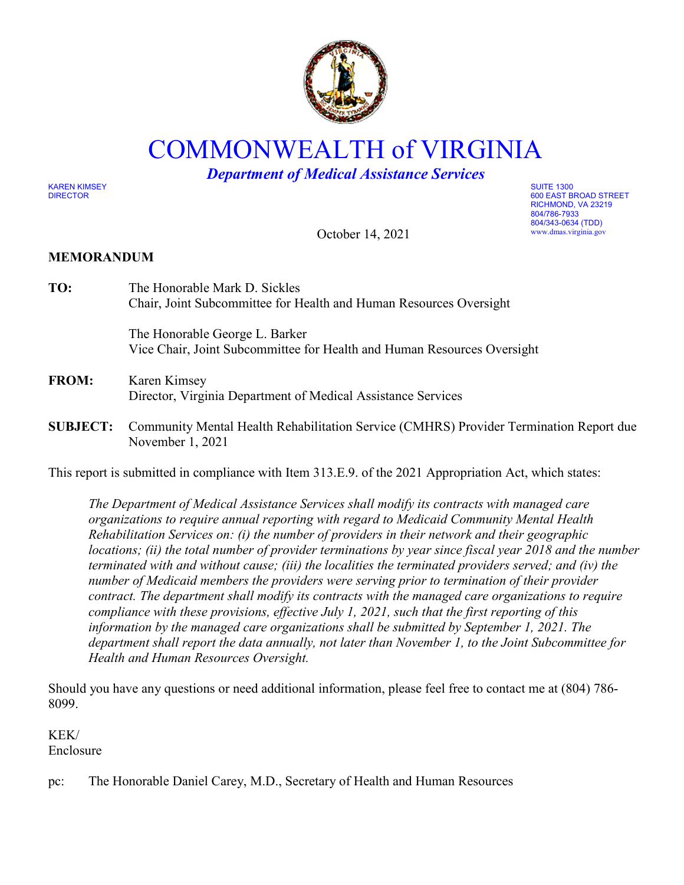

COMMONWEALTH of VIRGINIA

*Department of Medical Assistance Services*

KAREN KIMSEY SUITE 1300

DIRECTOR 600 EAST BROAD STREET RICHMOND, VA 23219 804/786-7933 804/343-0634 (TDD) www.dmas.virginia.gov

October 14, 2021

# **MEMORANDUM**

| TO:             | The Honorable Mark D. Sickles<br>Chair, Joint Subcommittee for Health and Human Resources Oversight        |
|-----------------|------------------------------------------------------------------------------------------------------------|
|                 | The Honorable George L. Barker<br>Vice Chair, Joint Subcommittee for Health and Human Resources Oversight  |
| <b>FROM:</b>    | Karen Kimsey<br>Director, Virginia Department of Medical Assistance Services                               |
| <b>SUBJECT:</b> | Community Mental Health Rehabilitation Service (CMHRS) Provider Termination Report due<br>November 1, 2021 |
|                 |                                                                                                            |

This report is submitted in compliance with Item 313.E.9. of the 2021 Appropriation Act, which states:

*The Department of Medical Assistance Services shall modify its contracts with managed care organizations to require annual reporting with regard to Medicaid Community Mental Health Rehabilitation Services on: (i) the number of providers in their network and their geographic locations; (ii) the total number of provider terminations by year since fiscal year 2018 and the number terminated with and without cause; (iii) the localities the terminated providers served; and (iv) the number of Medicaid members the providers were serving prior to termination of their provider contract. The department shall modify its contracts with the managed care organizations to require compliance with these provisions, effective July 1, 2021, such that the first reporting of this information by the managed care organizations shall be submitted by September 1, 2021. The department shall report the data annually, not later than November 1, to the Joint Subcommittee for Health and Human Resources Oversight.* 

Should you have any questions or need additional information, please feel free to contact me at (804) 786- 8099.

KEK/ Enclosure

pc: The Honorable Daniel Carey, M.D., Secretary of Health and Human Resources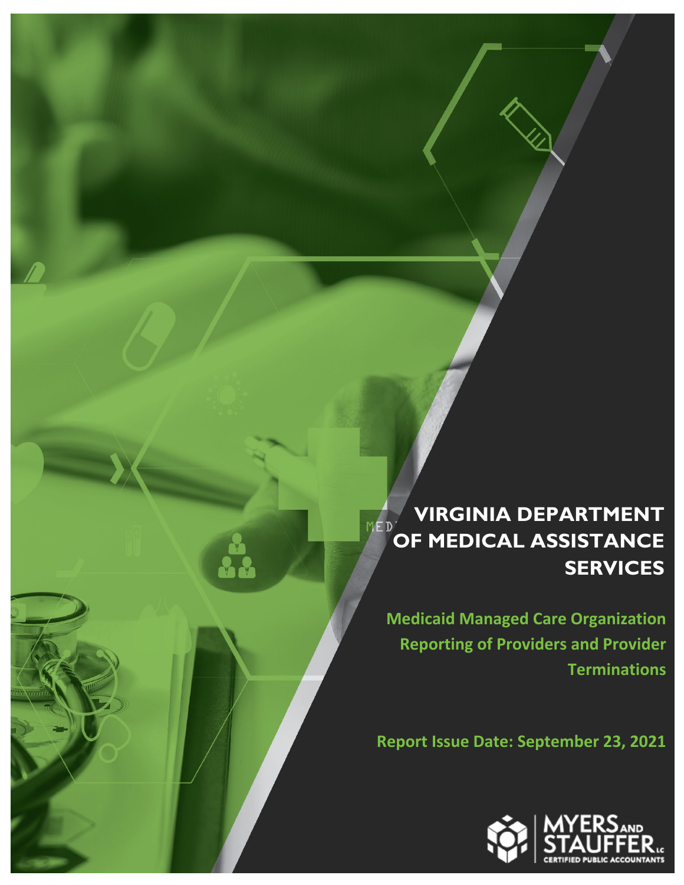# **VIRGINIA DEPARTMENT**   $MED$ **OF MEDICAL ASSISTANCE SERVICES**

**Medicaid Managed Care Organization Reporting of Providers and Provider Terminations**

**Report Issue Date: September 23, 2021**

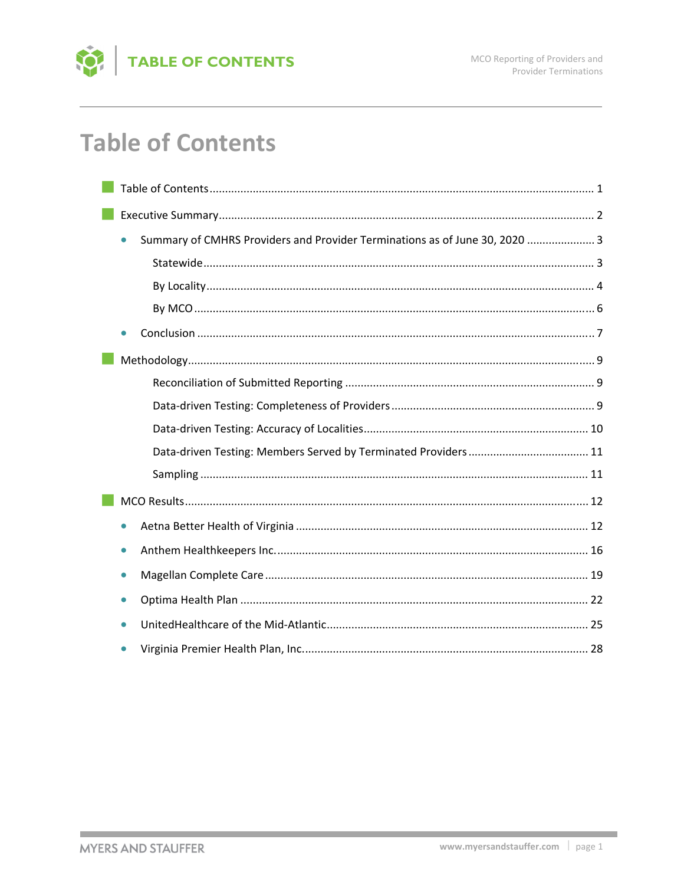

# **Table of Contents**

| Summary of CMHRS Providers and Provider Terminations as of June 30, 2020  3<br>$\bullet$ |
|------------------------------------------------------------------------------------------|
|                                                                                          |
|                                                                                          |
|                                                                                          |
|                                                                                          |
|                                                                                          |
|                                                                                          |
|                                                                                          |
|                                                                                          |
|                                                                                          |
|                                                                                          |
|                                                                                          |
| $\bullet$                                                                                |
|                                                                                          |
| $\bullet$                                                                                |
|                                                                                          |
|                                                                                          |
|                                                                                          |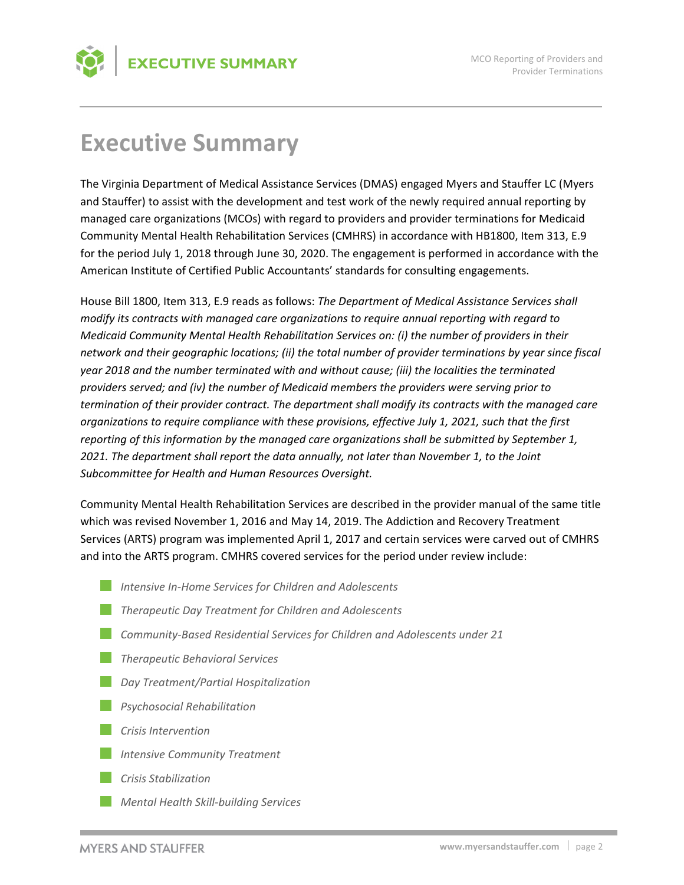# **Executive Summary**

The Virginia Department of Medical Assistance Services (DMAS) engaged Myers and Stauffer LC (Myers and Stauffer) to assist with the development and test work of the newly required annual reporting by managed care organizations (MCOs) with regard to providers and provider terminations for Medicaid Community Mental Health Rehabilitation Services (CMHRS) in accordance with HB1800, Item 313, E.9 for the period July 1, 2018 through June 30, 2020. The engagement is performed in accordance with the American Institute of Certified Public Accountants' standards for consulting engagements.

House Bill 1800, Item 313, E.9 reads as follows: *The Department of Medical Assistance Services shall modify its contracts with managed care organizations to require annual reporting with regard to Medicaid Community Mental Health Rehabilitation Services on: (i) the number of providers in their network and their geographic locations; (ii) the total number of provider terminations by year since fiscal year 2018 and the number terminated with and without cause; (iii) the localities the terminated providers served; and (iv) the number of Medicaid members the providers were serving prior to termination of their provider contract. The department shall modify its contracts with the managed care organizations to require compliance with these provisions, effective July 1, 2021, such that the first reporting of this information by the managed care organizations shall be submitted by September 1, 2021. The department shall report the data annually, not later than November 1, to the Joint Subcommittee for Health and Human Resources Oversight.* 

Community Mental Health Rehabilitation Services are described in the provider manual of the same title which was revised November 1, 2016 and May 14, 2019. The Addiction and Recovery Treatment Services (ARTS) program was implemented April 1, 2017 and certain services were carved out of CMHRS and into the ARTS program. CMHRS covered services for the period under review include:

- *Intensive In‐Home Services for Children and Adolescents*
- *Therapeutic Day Treatment for Children and Adolescents*
- *Community‐Based Residential Services for Children and Adolescents under 21*
- *Therapeutic Behavioral Services*
- *Day Treatment/Partial Hospitalization*
- *Psychosocial Rehabilitation*
- *Crisis Intervention*
- *Intensive Community Treatment*
- *Crisis Stabilization*
- *Mental Health Skill‐building Services*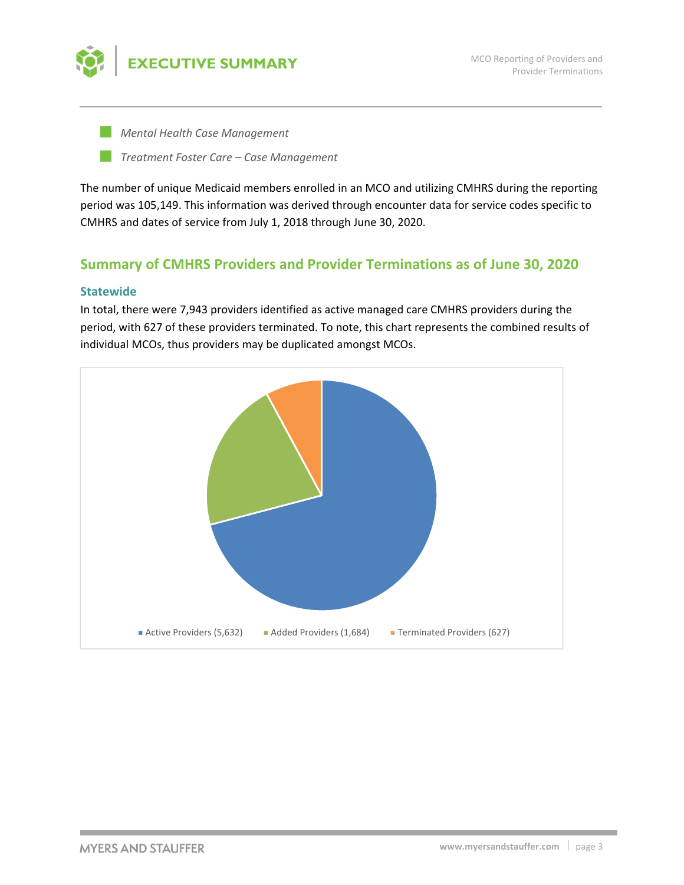

*Mental Health Case Management*

*Treatment Foster Care – Case Management*

The number of unique Medicaid members enrolled in an MCO and utilizing CMHRS during the reporting period was 105,149. This information was derived through encounter data for service codes specific to CMHRS and dates of service from July 1, 2018 through June 30, 2020.

# **Summary of CMHRS Providers and Provider Terminations as of June 30, 2020**

## **Statewide**

In total, there were 7,943 providers identified as active managed care CMHRS providers during the period, with 627 of these providers terminated. To note, this chart represents the combined results of individual MCOs, thus providers may be duplicated amongst MCOs.

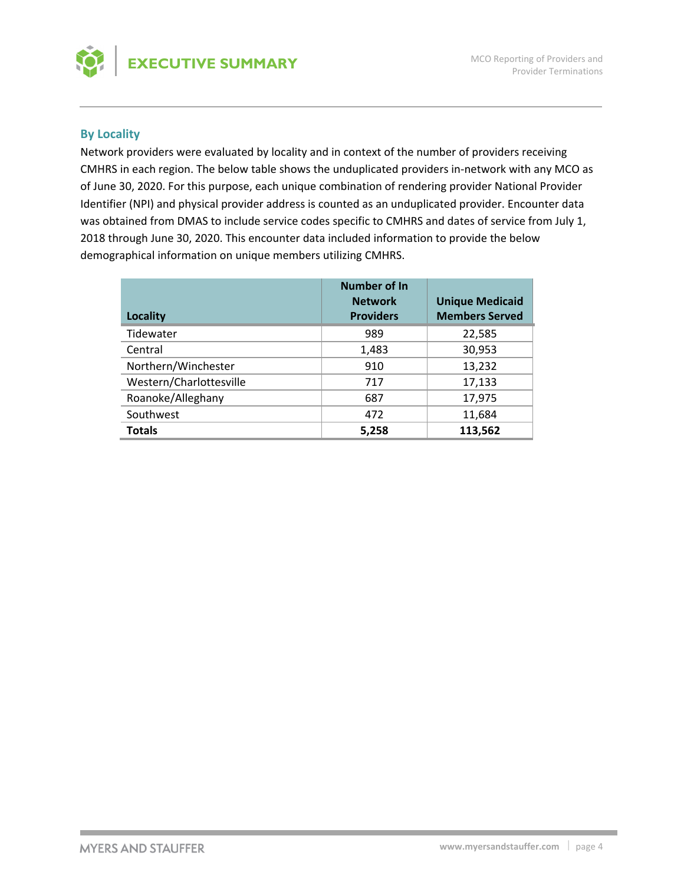

## **By Locality**

Network providers were evaluated by locality and in context of the number of providers receiving CMHRS in each region. The below table shows the unduplicated providers in‐network with any MCO as of June 30, 2020. For this purpose, each unique combination of rendering provider National Provider Identifier (NPI) and physical provider address is counted as an unduplicated provider. Encounter data was obtained from DMAS to include service codes specific to CMHRS and dates of service from July 1, 2018 through June 30, 2020. This encounter data included information to provide the below demographical information on unique members utilizing CMHRS.

| Locality                | Number of In<br><b>Network</b><br><b>Providers</b> | <b>Unique Medicaid</b><br><b>Members Served</b> |
|-------------------------|----------------------------------------------------|-------------------------------------------------|
| Tidewater               | 989                                                | 22,585                                          |
| Central                 | 1,483                                              | 30,953                                          |
| Northern/Winchester     | 910                                                | 13,232                                          |
| Western/Charlottesville | 717                                                | 17,133                                          |
| Roanoke/Alleghany       | 687                                                | 17,975                                          |
| Southwest               | 472                                                | 11,684                                          |
| <b>Totals</b>           | 5,258                                              | 113,562                                         |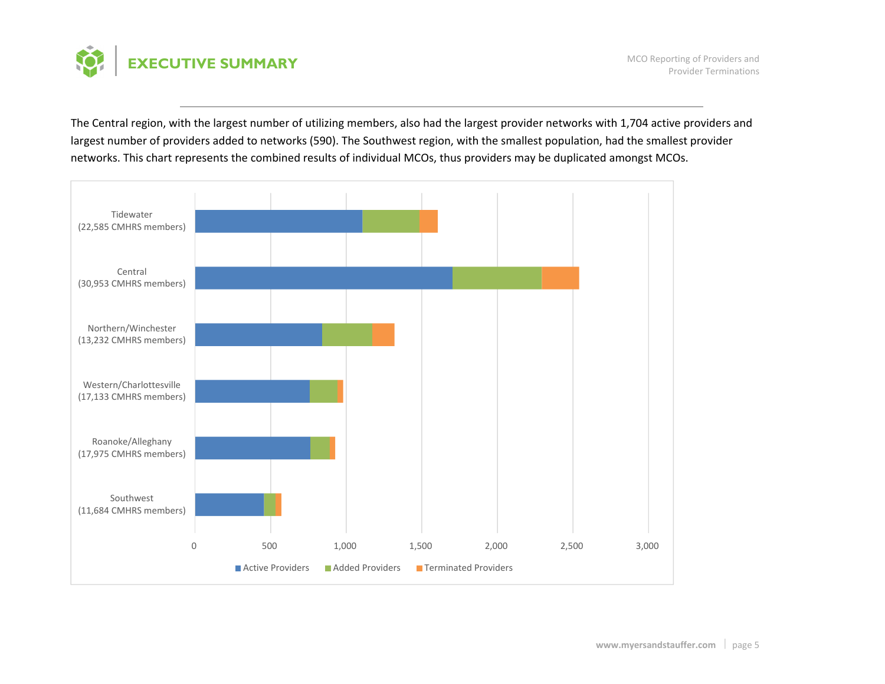

MCO Reporting of Providers and Provider Terminations

The Central region, with the largest number of utilizing members, also had the largest provider networks with 1,704 active providers and largest number of providers added to networks (590). The Southwest region, with the smallest population, had the smallest provider networks. This chart represents the combined results of individual MCOs, thus providers may be duplicated amongst MCOs.

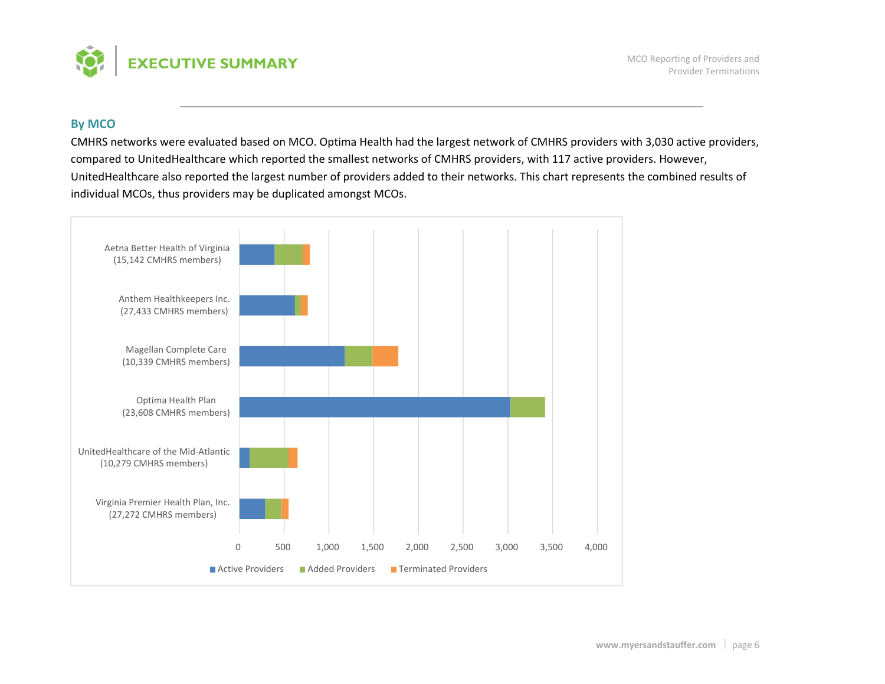

### **By MCO**

CMHRS networks were evaluated based on MCO. Optima Health had the largest network of CMHRS providers with 3,030 active providers, compared to UnitedHealthcare which reported the smallest networks of CMHRS providers, with 117 active providers. However, UnitedHealthcare also reported the largest number of providers added to their networks. This chart represents the combined results of individual MCOs, thus providers may be duplicated amongst MCOs.

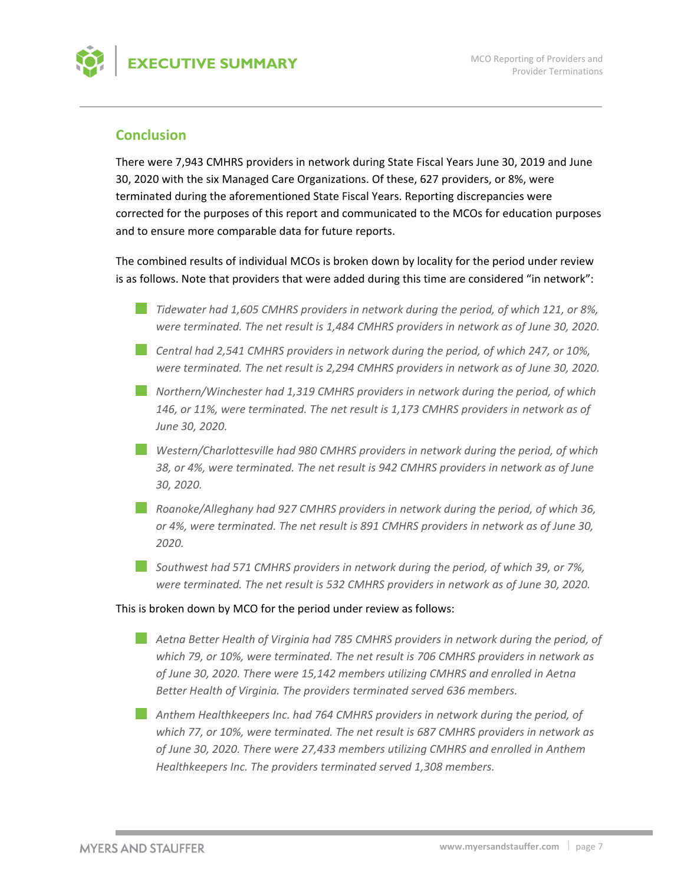

# **Conclusion**

There were 7,943 CMHRS providers in network during State Fiscal Years June 30, 2019 and June 30, 2020 with the six Managed Care Organizations. Of these, 627 providers, or 8%, were terminated during the aforementioned State Fiscal Years. Reporting discrepancies were corrected for the purposes of this report and communicated to the MCOs for education purposes and to ensure more comparable data for future reports.

The combined results of individual MCOs is broken down by locality for the period under review is as follows. Note that providers that were added during this time are considered "in network":

- *Tidewater had 1,605 CMHRS providers in network during the period, of which 121, or 8%, were terminated. The net result is 1,484 CMHRS providers in network as of June 30, 2020.*
- *Central had 2,541 CMHRS providers in network during the period, of which 247, or 10%, were terminated. The net result is 2,294 CMHRS providers in network as of June 30, 2020.*
- *Northern/Winchester had 1,319 CMHRS providers in network during the period, of which 146, or 11%, were terminated. The net result is 1,173 CMHRS providers in network as of June 30, 2020.*
- *Western/Charlottesville had 980 CMHRS providers in network during the period, of which 38, or 4%, were terminated. The net result is 942 CMHRS providers in network as of June 30, 2020.*
- *Roanoke/Alleghany had 927 CMHRS providers in network during the period, of which 36, or 4%, were terminated. The net result is 891 CMHRS providers in network as of June 30, 2020.*
- *Southwest had 571 CMHRS providers in network during the period, of which 39, or 7%, were terminated. The net result is 532 CMHRS providers in network as of June 30, 2020.*

#### This is broken down by MCO for the period under review as follows:

- *Aetna Better Health of Virginia had 785 CMHRS providers in network during the period, of which 79, or 10%, were terminated. The net result is 706 CMHRS providers in network as of June 30, 2020. There were 15,142 members utilizing CMHRS and enrolled in Aetna Better Health of Virginia. The providers terminated served 636 members.*
- *Anthem Healthkeepers Inc. had 764 CMHRS providers in network during the period, of which 77, or 10%, were terminated. The net result is 687 CMHRS providers in network as of June 30, 2020. There were 27,433 members utilizing CMHRS and enrolled in Anthem Healthkeepers Inc. The providers terminated served 1,308 members.*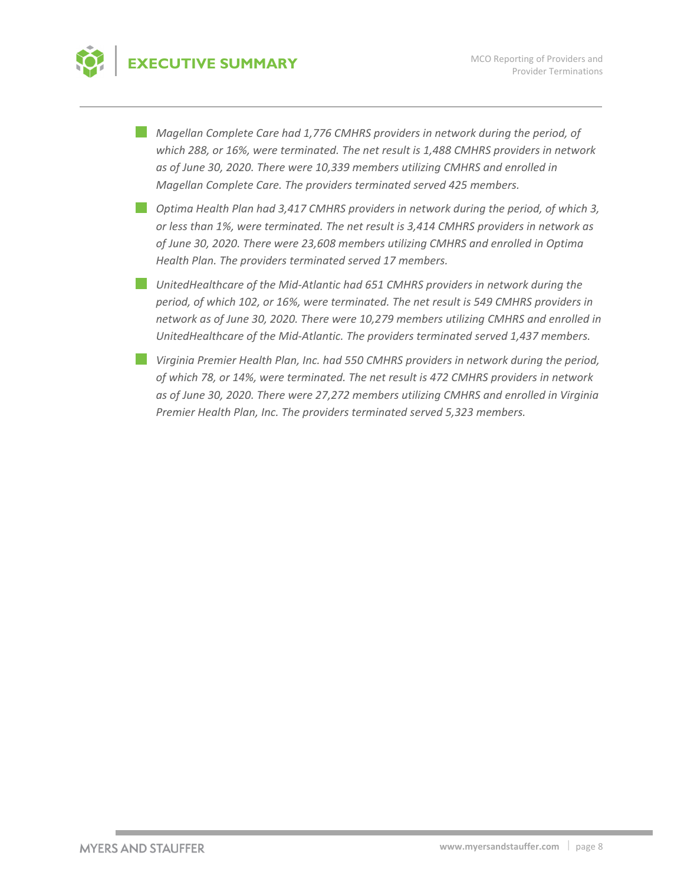# **EXECUTIVE SUMMARY**

*Magellan Complete Care had 1,776 CMHRS providers in network during the period, of which 288, or 16%, were terminated. The net result is 1,488 CMHRS providers in network as of June 30, 2020. There were 10,339 members utilizing CMHRS and enrolled in Magellan Complete Care. The providers terminated served 425 members.*

- *Optima Health Plan had 3,417 CMHRS providers in network during the period, of which 3, or less than 1%, were terminated. The net result is 3,414 CMHRS providers in network as of June 30, 2020. There were 23,608 members utilizing CMHRS and enrolled in Optima Health Plan. The providers terminated served 17 members.*
- *UnitedHealthcare of the Mid‐Atlantic had 651 CMHRS providers in network during the period, of which 102, or 16%, were terminated. The net result is 549 CMHRS providers in network as of June 30, 2020. There were 10,279 members utilizing CMHRS and enrolled in UnitedHealthcare of the Mid‐Atlantic. The providers terminated served 1,437 members.*
- *Virginia Premier Health Plan, Inc. had 550 CMHRS providers in network during the period, of which 78, or 14%, were terminated. The net result is 472 CMHRS providers in network as of June 30, 2020. There were 27,272 members utilizing CMHRS and enrolled in Virginia Premier Health Plan, Inc. The providers terminated served 5,323 members.*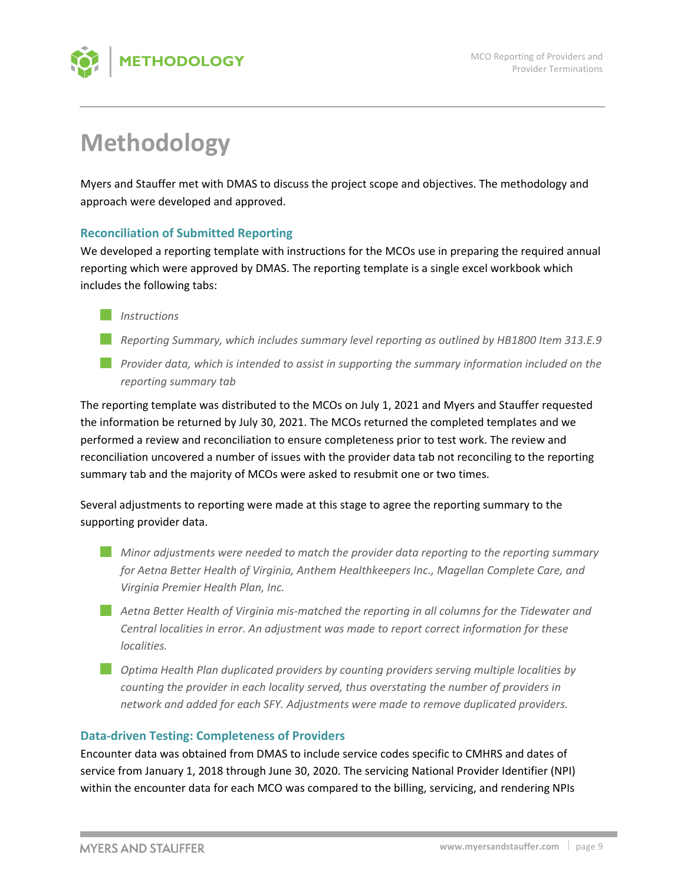

# **Methodology**

Myers and Stauffer met with DMAS to discuss the project scope and objectives. The methodology and approach were developed and approved.

# **Reconciliation of Submitted Reporting**

We developed a reporting template with instructions for the MCOs use in preparing the required annual reporting which were approved by DMAS. The reporting template is a single excel workbook which includes the following tabs:



- *Reporting Summary, which includes summary level reporting as outlined by HB1800 Item 313.E.9*
- *Provider data, which is intended to assist in supporting the summary information included on the reporting summary tab*

The reporting template was distributed to the MCOs on July 1, 2021 and Myers and Stauffer requested the information be returned by July 30, 2021. The MCOs returned the completed templates and we performed a review and reconciliation to ensure completeness prior to test work. The review and reconciliation uncovered a number of issues with the provider data tab not reconciling to the reporting summary tab and the majority of MCOs were asked to resubmit one or two times.

Several adjustments to reporting were made at this stage to agree the reporting summary to the supporting provider data.

- *Minor adjustments were needed to match the provider data reporting to the reporting summary for Aetna Better Health of Virginia, Anthem Healthkeepers Inc., Magellan Complete Care, and Virginia Premier Health Plan, Inc.*
- *Aetna Better Health of Virginia mis‐matched the reporting in all columns for the Tidewater and Central localities in error. An adjustment was made to report correct information for these localities.*
- *Optima Health Plan duplicated providers by counting providers serving multiple localities by counting the provider in each locality served, thus overstating the number of providers in network and added for each SFY. Adjustments were made to remove duplicated providers.*

# **Data‐driven Testing: Completeness of Providers**

Encounter data was obtained from DMAS to include service codes specific to CMHRS and dates of service from January 1, 2018 through June 30, 2020. The servicing National Provider Identifier (NPI) within the encounter data for each MCO was compared to the billing, servicing, and rendering NPIs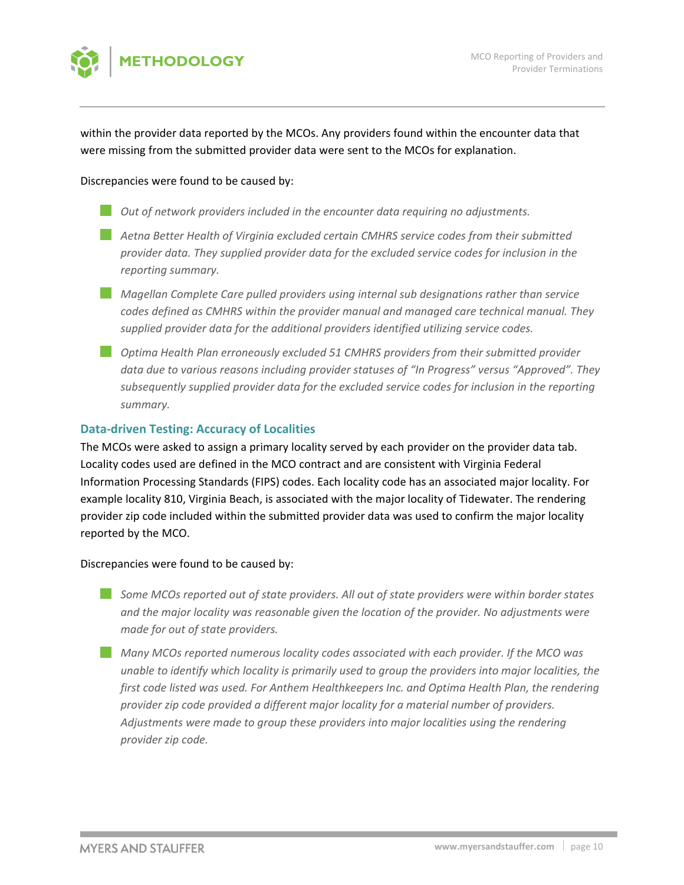

within the provider data reported by the MCOs. Any providers found within the encounter data that were missing from the submitted provider data were sent to the MCOs for explanation.

#### Discrepancies were found to be caused by:

- *Out of network providers included in the encounter data requiring no adjustments.*
- *Aetna Better Health of Virginia excluded certain CMHRS service codes from their submitted provider data. They supplied provider data for the excluded service codes for inclusion in the reporting summary.*
- *Magellan Complete Care pulled providers using internal sub designations rather than service codes defined as CMHRS within the provider manual and managed care technical manual. They supplied provider data for the additional providers identified utilizing service codes.*
- *Optima Health Plan erroneously excluded 51 CMHRS providers from their submitted provider data due to various reasons including provider statuses of "In Progress" versus "Approved". They subsequently supplied provider data for the excluded service codes for inclusion in the reporting summary.*

## **Data‐driven Testing: Accuracy of Localities**

The MCOs were asked to assign a primary locality served by each provider on the provider data tab. Locality codes used are defined in the MCO contract and are consistent with Virginia Federal Information Processing Standards (FIPS) codes. Each locality code has an associated major locality. For example locality 810, Virginia Beach, is associated with the major locality of Tidewater. The rendering provider zip code included within the submitted provider data was used to confirm the major locality reported by the MCO.

#### Discrepancies were found to be caused by:

- *Some MCOs reported out of state providers. All out of state providers were within border states and the major locality was reasonable given the location of the provider. No adjustments were made for out of state providers.*
- *Many MCOs reported numerous locality codes associated with each provider. If the MCO was unable to identify which locality is primarily used to group the providers into major localities, the first code listed was used. For Anthem Healthkeepers Inc. and Optima Health Plan, the rendering provider zip code provided a different major locality for a material number of providers. Adjustments were made to group these providers into major localities using the rendering provider zip code.*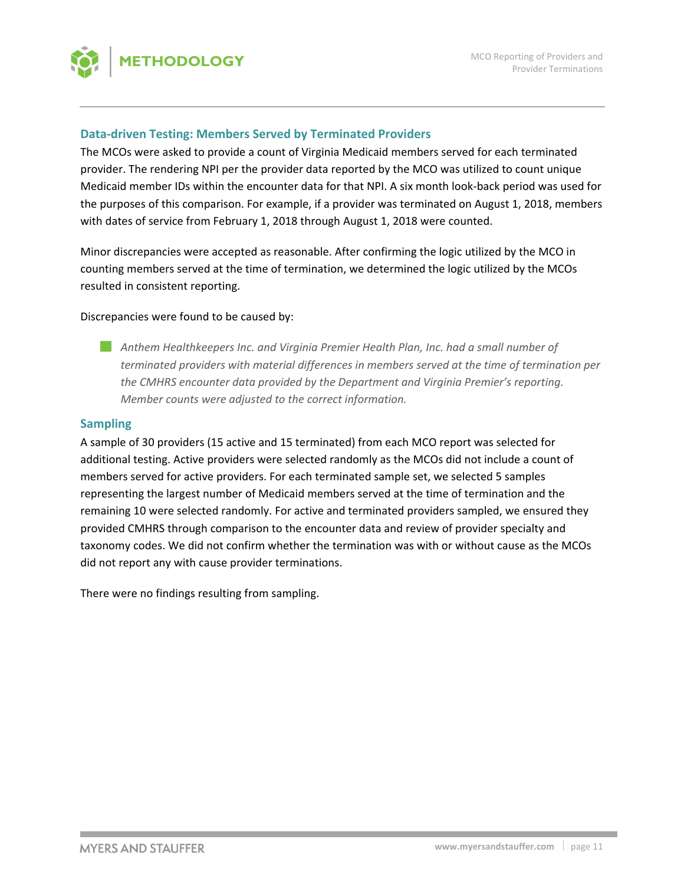

## **Data‐driven Testing: Members Served by Terminated Providers**

The MCOs were asked to provide a count of Virginia Medicaid members served for each terminated provider. The rendering NPI per the provider data reported by the MCO was utilized to count unique Medicaid member IDs within the encounter data for that NPI. A six month look‐back period was used for the purposes of this comparison. For example, if a provider was terminated on August 1, 2018, members with dates of service from February 1, 2018 through August 1, 2018 were counted.

Minor discrepancies were accepted as reasonable. After confirming the logic utilized by the MCO in counting members served at the time of termination, we determined the logic utilized by the MCOs resulted in consistent reporting.

#### Discrepancies were found to be caused by:

*Anthem Healthkeepers Inc. and Virginia Premier Health Plan, Inc. had a small number of terminated providers with material differences in members served at the time of termination per the CMHRS encounter data provided by the Department and Virginia Premier's reporting. Member counts were adjusted to the correct information.*

#### **Sampling**

A sample of 30 providers (15 active and 15 terminated) from each MCO report was selected for additional testing. Active providers were selected randomly as the MCOs did not include a count of members served for active providers. For each terminated sample set, we selected 5 samples representing the largest number of Medicaid members served at the time of termination and the remaining 10 were selected randomly. For active and terminated providers sampled, we ensured they provided CMHRS through comparison to the encounter data and review of provider specialty and taxonomy codes. We did not confirm whether the termination was with or without cause as the MCOs did not report any with cause provider terminations.

There were no findings resulting from sampling.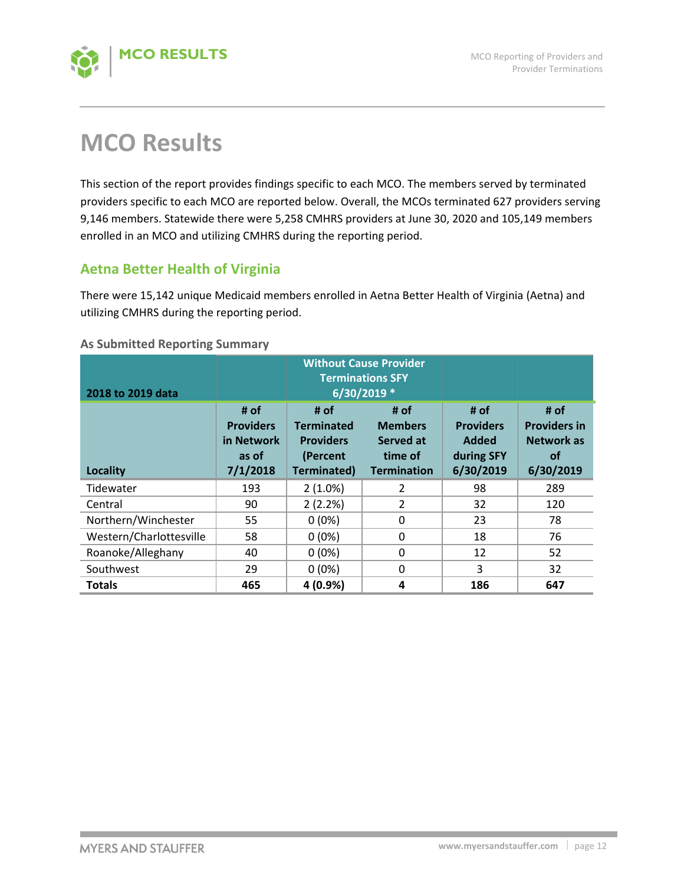

# **MCO Results**

This section of the report provides findings specific to each MCO. The members served by terminated providers specific to each MCO are reported below. Overall, the MCOs terminated 627 providers serving 9,146 members. Statewide there were 5,258 CMHRS providers at June 30, 2020 and 105,149 members enrolled in an MCO and utilizing CMHRS during the reporting period.

# **Aetna Better Health of Virginia**

There were 15,142 unique Medicaid members enrolled in Aetna Better Health of Virginia (Aetna) and utilizing CMHRS during the reporting period.

## **As Submitted Reporting Summary**

| 2018 to 2019 data       |                                                             |                                                                          | <b>Without Cause Provider</b><br><b>Terminations SFY</b><br>6/30/2019 * |                                                              |                                                                            |
|-------------------------|-------------------------------------------------------------|--------------------------------------------------------------------------|-------------------------------------------------------------------------|--------------------------------------------------------------|----------------------------------------------------------------------------|
| <b>Locality</b>         | # of<br><b>Providers</b><br>in Network<br>as of<br>7/1/2018 | # of<br><b>Terminated</b><br><b>Providers</b><br>(Percent<br>Terminated) | # of<br><b>Members</b><br>Served at<br>time of<br><b>Termination</b>    | # of<br><b>Providers</b><br>Added<br>during SFY<br>6/30/2019 | # of<br><b>Providers in</b><br><b>Network as</b><br><b>of</b><br>6/30/2019 |
| Tidewater               | 193                                                         | $2(1.0\%)$                                                               | 2                                                                       | 98                                                           | 289                                                                        |
| Central                 | 90                                                          | 2(2.2%)                                                                  | 2                                                                       | 32                                                           | 120                                                                        |
| Northern/Winchester     | 55                                                          | $0(0\%)$                                                                 | $\Omega$                                                                | 23                                                           | 78                                                                         |
| Western/Charlottesville | 58                                                          | $0(0\%)$                                                                 | 0                                                                       | 18                                                           | 76                                                                         |
| Roanoke/Alleghany       | 40                                                          | $0(0\%)$                                                                 | $\Omega$                                                                | 12                                                           | 52                                                                         |
| Southwest               | 29                                                          | $0(0\%)$                                                                 | 0                                                                       | 3                                                            | 32                                                                         |
| <b>Totals</b>           | 465                                                         | 4 (0.9%)                                                                 | 4                                                                       | 186                                                          | 647                                                                        |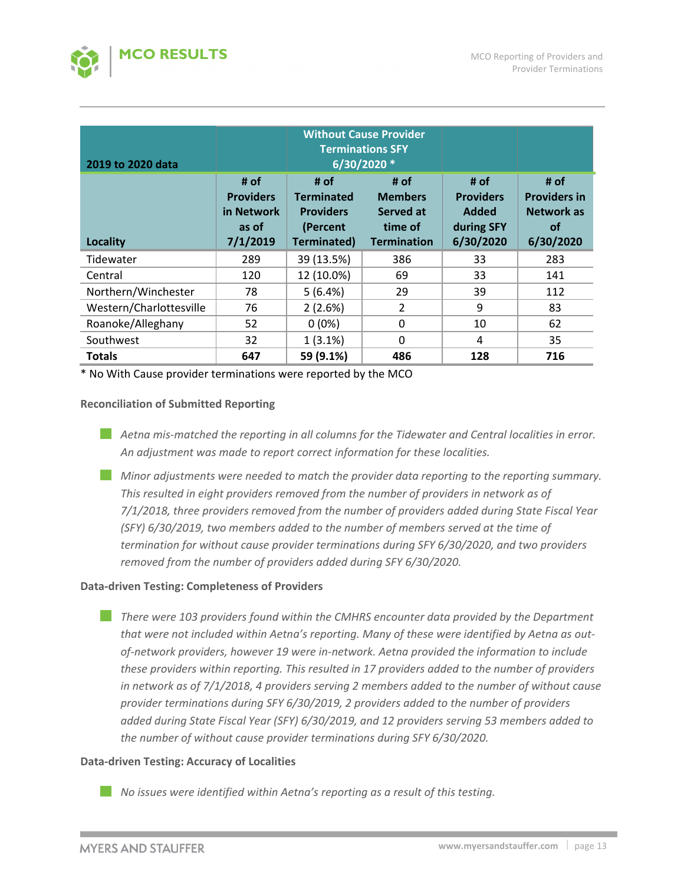

| 2019 to 2020 data       |                                                             | <b>Without Cause Provider</b><br><b>Terminations SFY</b><br>6/30/2020 *  |                                                                      |                                                                     |                                                                     |
|-------------------------|-------------------------------------------------------------|--------------------------------------------------------------------------|----------------------------------------------------------------------|---------------------------------------------------------------------|---------------------------------------------------------------------|
| Locality                | # of<br><b>Providers</b><br>in Network<br>as of<br>7/1/2019 | # of<br><b>Terminated</b><br><b>Providers</b><br>(Percent<br>Terminated) | # of<br><b>Members</b><br>Served at<br>time of<br><b>Termination</b> | # of<br><b>Providers</b><br><b>Added</b><br>during SFY<br>6/30/2020 | # of<br><b>Providers in</b><br>Network as<br><b>of</b><br>6/30/2020 |
| Tidewater               | 289                                                         | 39 (13.5%)                                                               | 386                                                                  | 33                                                                  | 283                                                                 |
| Central                 | 120                                                         | 12 (10.0%)                                                               | 69                                                                   | 33                                                                  | 141                                                                 |
| Northern/Winchester     | 78                                                          | 5(6.4%)                                                                  | 29                                                                   | 39                                                                  | 112                                                                 |
| Western/Charlottesville | 76                                                          | 2(2.6%)                                                                  | 2                                                                    | 9                                                                   | 83                                                                  |
| Roanoke/Alleghany       | 52                                                          | $0(0\%)$                                                                 | 0                                                                    | 10                                                                  | 62                                                                  |
| Southwest               | 32                                                          | $1(3.1\%)$                                                               | $\Omega$                                                             | 4                                                                   | 35                                                                  |
| <b>Totals</b>           | 647                                                         | 59 (9.1%)                                                                | 486                                                                  | 128                                                                 | 716                                                                 |

\* No With Cause provider terminations were reported by the MCO

#### **Reconciliation of Submitted Reporting**

- *Aetna mis‐matched the reporting in all columns for the Tidewater and Central localities in error. An adjustment was made to report correct information for these localities.*
- *Minor adjustments were needed to match the provider data reporting to the reporting summary. This resulted in eight providers removed from the number of providers in network as of 7/1/2018, three providers removed from the number of providers added during State Fiscal Year (SFY) 6/30/2019, two members added to the number of members served at the time of termination for without cause provider terminations during SFY 6/30/2020, and two providers removed from the number of providers added during SFY 6/30/2020.*

#### **Data‐driven Testing: Completeness of Providers**

*There were 103 providers found within the CMHRS encounter data provided by the Department that were not included within Aetna's reporting. Many of these were identified by Aetna as out‐ of‐network providers, however 19 were in‐network. Aetna provided the information to include these providers within reporting. This resulted in 17 providers added to the number of providers in network as of 7/1/2018, 4 providers serving 2 members added to the number of without cause provider terminations during SFY 6/30/2019, 2 providers added to the number of providers added during State Fiscal Year (SFY) 6/30/2019, and 12 providers serving 53 members added to the number of without cause provider terminations during SFY 6/30/2020.*

## **Data‐driven Testing: Accuracy of Localities**

*No issues were identified within Aetna's reporting as a result of this testing.*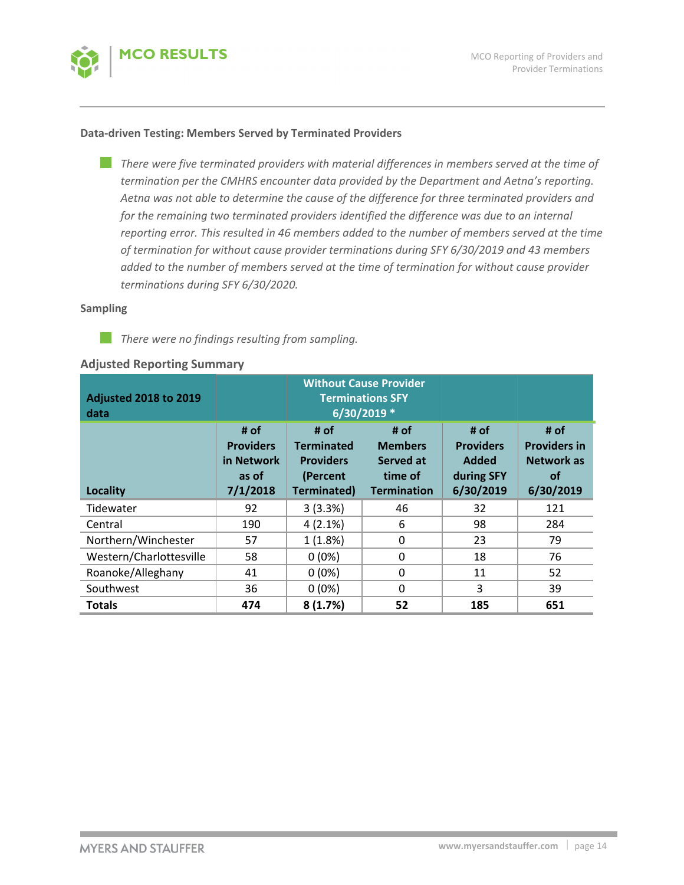

#### **Data‐driven Testing: Members Served by Terminated Providers**

*There were five terminated providers with material differences in members served at the time of* И. *termination per the CMHRS encounter data provided by the Department and Aetna's reporting. Aetna was not able to determine the cause of the difference for three terminated providers and for the remaining two terminated providers identified the difference was due to an internal reporting error. This resulted in 46 members added to the number of members served at the time of termination for without cause provider terminations during SFY 6/30/2019 and 43 members added to the number of members served at the time of termination for without cause provider terminations during SFY 6/30/2020.*

#### **Sampling**

H. *There were no findings resulting from sampling.*

#### **Adjusted Reporting Summary**

| <b>Adjusted 2018 to 2019</b><br>data | <b>Without Cause Provider</b><br><b>Terminations SFY</b><br>6/30/2019 * |                                                                                 |                                                                      |                                                              |                                                                            |  |  |
|--------------------------------------|-------------------------------------------------------------------------|---------------------------------------------------------------------------------|----------------------------------------------------------------------|--------------------------------------------------------------|----------------------------------------------------------------------------|--|--|
| Locality                             | # of<br><b>Providers</b><br>in Network<br>as of<br>7/1/2018             | # of<br><b>Terminated</b><br><b>Providers</b><br>(Percent<br><b>Terminated)</b> | # of<br><b>Members</b><br>Served at<br>time of<br><b>Termination</b> | # of<br><b>Providers</b><br>Added<br>during SFY<br>6/30/2019 | # of<br><b>Providers in</b><br><b>Network as</b><br><b>of</b><br>6/30/2019 |  |  |
| Tidewater                            | 92                                                                      | 3(3.3%)                                                                         | 46                                                                   | 32                                                           | 121                                                                        |  |  |
| Central                              | 190                                                                     | $4(2.1\%)$                                                                      | 6                                                                    | 98                                                           | 284                                                                        |  |  |
| Northern/Winchester                  | 57                                                                      | 1(1.8%)                                                                         | $\mathbf{0}$                                                         | 23                                                           | 79                                                                         |  |  |
| Western/Charlottesville              | 58                                                                      | $0(0\%)$                                                                        | 0                                                                    | 18                                                           | 76                                                                         |  |  |
| Roanoke/Alleghany                    | 41                                                                      | $0(0\%)$                                                                        | $\mathbf{0}$                                                         | 11                                                           | 52                                                                         |  |  |
| Southwest                            | 36                                                                      | $0(0\%)$                                                                        | $\mathbf{0}$                                                         | 3                                                            | 39                                                                         |  |  |
| <b>Totals</b>                        | 474                                                                     | 8(1.7%)                                                                         | 52                                                                   | 185                                                          | 651                                                                        |  |  |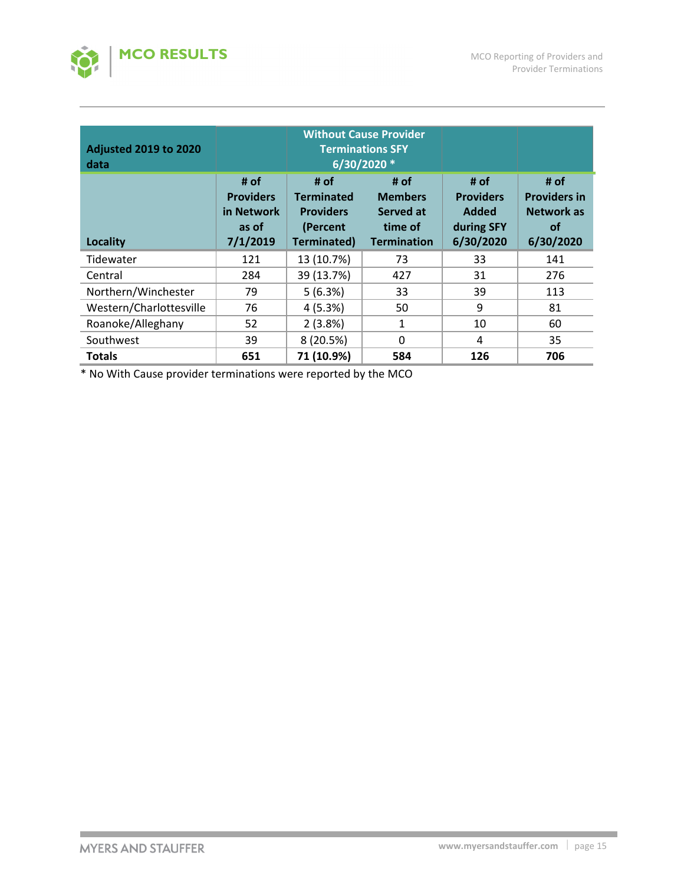

| <b>Adjusted 2019 to 2020</b><br>data | <b>Without Cause Provider</b><br><b>Terminations SFY</b><br>6/30/2020 * |                                                                          |                                                                      |                                                                     |                                                                     |  |
|--------------------------------------|-------------------------------------------------------------------------|--------------------------------------------------------------------------|----------------------------------------------------------------------|---------------------------------------------------------------------|---------------------------------------------------------------------|--|
| Locality                             | # of<br><b>Providers</b><br>in Network<br>as of<br>7/1/2019             | # of<br><b>Terminated</b><br><b>Providers</b><br>(Percent<br>Terminated) | # of<br><b>Members</b><br>Served at<br>time of<br><b>Termination</b> | # of<br><b>Providers</b><br><b>Added</b><br>during SFY<br>6/30/2020 | # of<br><b>Providers in</b><br>Network as<br><b>of</b><br>6/30/2020 |  |
| Tidewater                            | 121                                                                     | 13 (10.7%)                                                               | 73                                                                   | 33                                                                  | 141                                                                 |  |
| Central                              | 284                                                                     | 39 (13.7%)                                                               | 427                                                                  | 31                                                                  | 276                                                                 |  |
| Northern/Winchester                  | 79                                                                      | 5(6.3%)                                                                  | 33                                                                   | 39                                                                  | 113                                                                 |  |
| Western/Charlottesville              | 76                                                                      | 4(5.3%)                                                                  | 50                                                                   | 9                                                                   | 81                                                                  |  |
| Roanoke/Alleghany                    | 52                                                                      | 2(3.8%)                                                                  | 1                                                                    | 10                                                                  | 60                                                                  |  |
| Southwest                            | 39                                                                      | 8(20.5%)                                                                 | 0                                                                    | 4                                                                   | 35                                                                  |  |
| <b>Totals</b>                        | 651                                                                     | 71 (10.9%)                                                               | 584                                                                  | 126                                                                 | 706                                                                 |  |

\* No With Cause provider terminations were reported by the MCO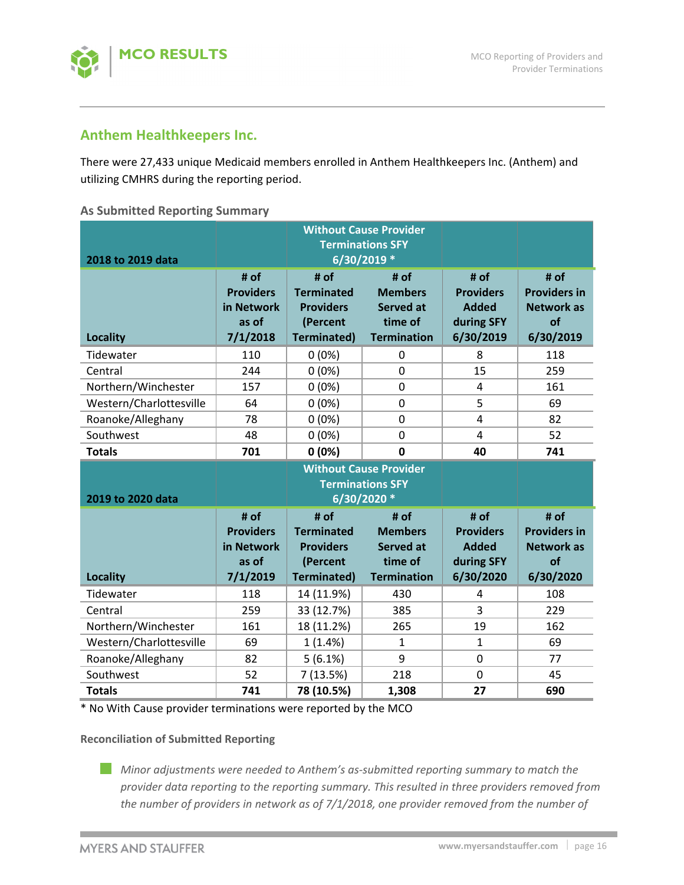

# **Anthem Healthkeepers Inc.**

There were 27,433 unique Medicaid members enrolled in Anthem Healthkeepers Inc. (Anthem) and utilizing CMHRS during the reporting period.

## **As Submitted Reporting Summary**

| 2018 to 2019 data       |                                                             | <b>Without Cause Provider</b><br><b>Terminations SFY</b>                        |                                                                                            |                                                                     |                                                                     |
|-------------------------|-------------------------------------------------------------|---------------------------------------------------------------------------------|--------------------------------------------------------------------------------------------|---------------------------------------------------------------------|---------------------------------------------------------------------|
| <b>Locality</b>         | # of<br><b>Providers</b><br>in Network<br>as of<br>7/1/2018 | # of<br><b>Terminated</b><br><b>Providers</b><br>(Percent<br><b>Terminated)</b> | 6/30/2019 *<br># of<br><b>Members</b><br><b>Served at</b><br>time of<br><b>Termination</b> | # of<br><b>Providers</b><br><b>Added</b><br>during SFY<br>6/30/2019 | # of<br><b>Providers in</b><br><b>Network as</b><br>of<br>6/30/2019 |
| Tidewater               | 110                                                         | $0(0\%)$                                                                        | 0                                                                                          | 8                                                                   | 118                                                                 |
| Central                 | 244                                                         | 0(0%)                                                                           | $\mathbf 0$                                                                                | 15                                                                  | 259                                                                 |
| Northern/Winchester     | 157                                                         | $0(0\%)$                                                                        | 0                                                                                          | 4                                                                   | 161                                                                 |
| Western/Charlottesville | 64                                                          | 0(0%)                                                                           | $\mathbf 0$                                                                                | 5                                                                   | 69                                                                  |
| Roanoke/Alleghany       | 78                                                          | $0(0\%)$                                                                        | $\overline{0}$                                                                             | 4                                                                   | 82                                                                  |
| Southwest               | 48                                                          | 0(0%)                                                                           | $\mathbf 0$                                                                                | 4                                                                   | 52                                                                  |
| <b>Totals</b>           | 701                                                         | 0(0%)                                                                           | $\mathbf 0$                                                                                | 40                                                                  | 741                                                                 |
|                         |                                                             |                                                                                 |                                                                                            |                                                                     |                                                                     |
| 2019 to 2020 data       |                                                             |                                                                                 | <b>Without Cause Provider</b><br><b>Terminations SFY</b><br>6/30/2020 *                    |                                                                     |                                                                     |
| <b>Locality</b>         | # of<br><b>Providers</b><br>in Network<br>as of<br>7/1/2019 | # of<br><b>Terminated</b><br><b>Providers</b><br>(Percent<br><b>Terminated)</b> | # of<br><b>Members</b><br><b>Served at</b><br>time of<br><b>Termination</b>                | # of<br><b>Providers</b><br><b>Added</b><br>during SFY<br>6/30/2020 | # of<br><b>Providers in</b><br><b>Network as</b><br>of<br>6/30/2020 |
| Tidewater               | 118                                                         | 14 (11.9%)                                                                      | 430                                                                                        | 4                                                                   | 108                                                                 |
| Central                 | 259                                                         | 33 (12.7%)                                                                      | 385                                                                                        | 3                                                                   | 229                                                                 |
| Northern/Winchester     | 161                                                         | 18 (11.2%)                                                                      | 265                                                                                        | 19                                                                  | 162                                                                 |
| Western/Charlottesville | 69                                                          | $1(1.4\%)$                                                                      | $\mathbf{1}$                                                                               | $\mathbf{1}$                                                        | 69                                                                  |
| Roanoke/Alleghany       | 82                                                          | 5(6.1%)                                                                         | 9                                                                                          | 0                                                                   | 77                                                                  |
| Southwest               | 52                                                          | 7(13.5%)                                                                        | 218                                                                                        | 0                                                                   | 45                                                                  |

\* No With Cause provider terminations were reported by the MCO

## **Reconciliation of Submitted Reporting**

*Minor adjustments were needed to Anthem's as‐submitted reporting summary to match the provider data reporting to the reporting summary. This resulted in three providers removed from the number of providers in network as of 7/1/2018, one provider removed from the number of*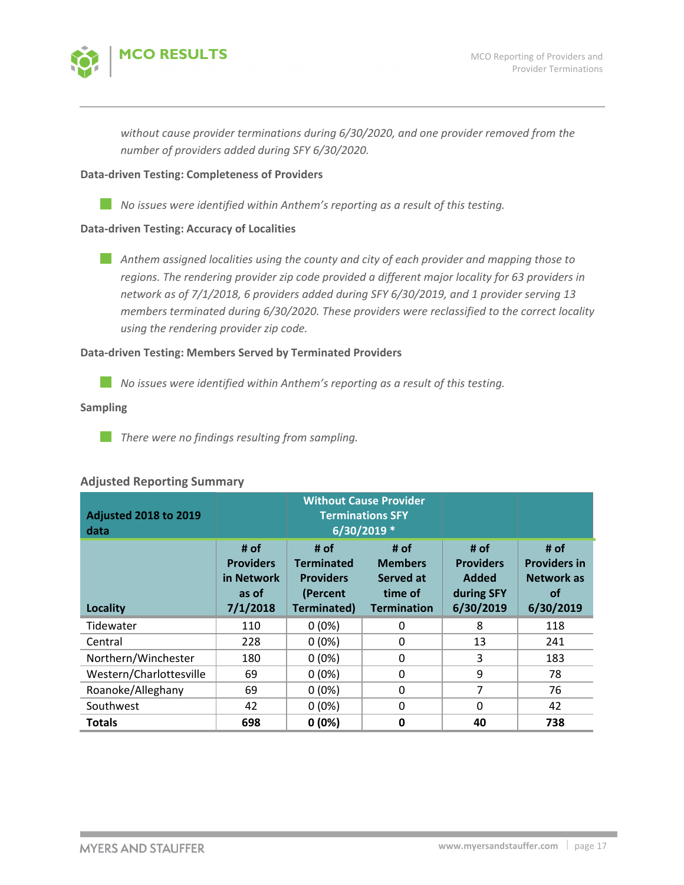

*without cause provider terminations during 6/30/2020, and one provider removed from the number of providers added during SFY 6/30/2020.* 

## **Data‐driven Testing: Completeness of Providers**

*No issues were identified within Anthem's reporting as a result of this testing.*

#### **Data‐driven Testing: Accuracy of Localities**

*Anthem assigned localities using the county and city of each provider and mapping those to regions. The rendering provider zip code provided a different major locality for 63 providers in network as of 7/1/2018, 6 providers added during SFY 6/30/2019, and 1 provider serving 13 members terminated during 6/30/2020. These providers were reclassified to the correct locality using the rendering provider zip code.*

# **Data‐driven Testing: Members Served by Terminated Providers**

*No issues were identified within Anthem's reporting as a result of this testing.*

#### **Sampling**

*There were no findings resulting from sampling.*

| <b>Adjusted 2018 to 2019</b><br>data |                                                             | <b>Without Cause Provider</b><br><b>Terminations SFY</b><br>6/30/2019 *         |                                                                      |                                                              |                                                                            |
|--------------------------------------|-------------------------------------------------------------|---------------------------------------------------------------------------------|----------------------------------------------------------------------|--------------------------------------------------------------|----------------------------------------------------------------------------|
| <b>Locality</b>                      | # of<br><b>Providers</b><br>in Network<br>as of<br>7/1/2018 | # of<br><b>Terminated</b><br><b>Providers</b><br>(Percent<br><b>Terminated)</b> | # of<br><b>Members</b><br>Served at<br>time of<br><b>Termination</b> | # of<br><b>Providers</b><br>Added<br>during SFY<br>6/30/2019 | # of<br><b>Providers in</b><br><b>Network as</b><br><b>of</b><br>6/30/2019 |
| Tidewater                            | 110                                                         | $0(0\%)$                                                                        | $\Omega$                                                             | 8                                                            | 118                                                                        |
| Central                              | 228                                                         | $0(0\%)$                                                                        | 0                                                                    | 13                                                           | 241                                                                        |
| Northern/Winchester                  | 180                                                         | $0(0\%)$                                                                        | $\Omega$                                                             | 3                                                            | 183                                                                        |
| Western/Charlottesville              | 69                                                          | $0(0\%)$                                                                        | 0                                                                    | 9                                                            | 78                                                                         |
| Roanoke/Alleghany                    | 69                                                          | $0(0\%)$                                                                        | $\Omega$                                                             | 7                                                            | 76                                                                         |
| Southwest                            | 42                                                          | $0(0\%)$                                                                        | $\mathbf 0$                                                          | $\Omega$                                                     | 42                                                                         |
| <b>Totals</b>                        | 698                                                         | 0(0%)                                                                           | $\mathbf 0$                                                          | 40                                                           | 738                                                                        |

## **Adjusted Reporting Summary**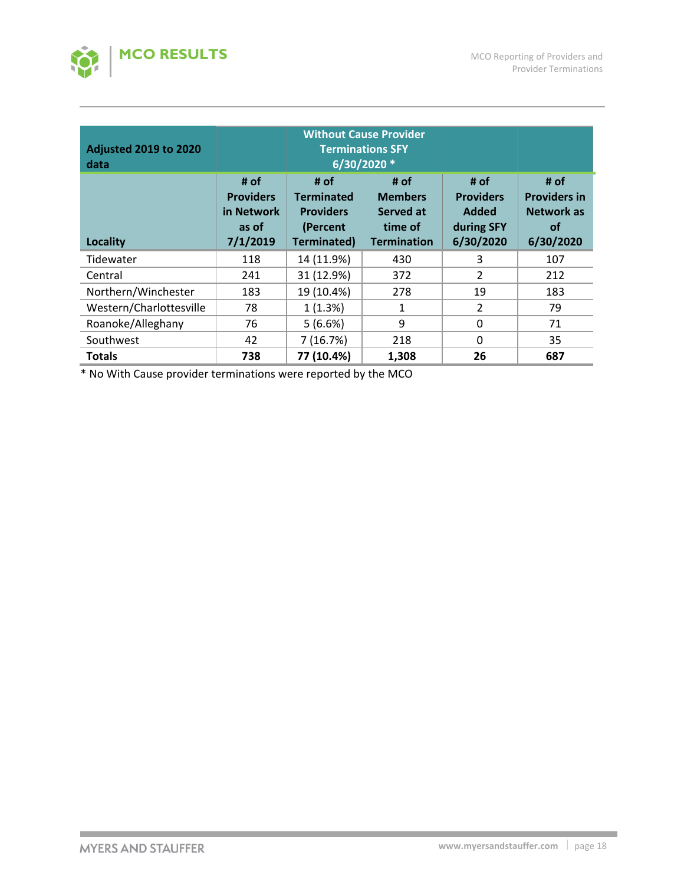

| <b>Adjusted 2019 to 2020</b><br>data |                                                             | <b>Without Cause Provider</b><br><b>Terminations SFY</b><br>6/30/2020 *  |                                                                      |                                                              |                                                                     |
|--------------------------------------|-------------------------------------------------------------|--------------------------------------------------------------------------|----------------------------------------------------------------------|--------------------------------------------------------------|---------------------------------------------------------------------|
| <b>Locality</b>                      | # of<br><b>Providers</b><br>in Network<br>as of<br>7/1/2019 | # of<br><b>Terminated</b><br><b>Providers</b><br>(Percent<br>Terminated) | # of<br><b>Members</b><br>Served at<br>time of<br><b>Termination</b> | # of<br><b>Providers</b><br>Added<br>during SFY<br>6/30/2020 | # of<br><b>Providers in</b><br>Network as<br><b>of</b><br>6/30/2020 |
| Tidewater                            | 118                                                         | 14 (11.9%)                                                               | 430                                                                  | 3                                                            | 107                                                                 |
| Central                              | 241                                                         | 31 (12.9%)                                                               | 372                                                                  | $\overline{2}$                                               | 212                                                                 |
| Northern/Winchester                  | 183                                                         | 19 (10.4%)                                                               | 278                                                                  | 19                                                           | 183                                                                 |
| Western/Charlottesville              | 78                                                          | 1(1.3%)                                                                  | 1                                                                    | $\overline{2}$                                               | 79                                                                  |
| Roanoke/Alleghany                    | 76                                                          | 5(6.6%)                                                                  | 9                                                                    | 0                                                            | 71                                                                  |
| Southwest                            | 42                                                          | 7(16.7%)                                                                 | 218                                                                  | $\Omega$                                                     | 35                                                                  |
| <b>Totals</b>                        | 738                                                         | 77 (10.4%)                                                               | 1,308                                                                | 26                                                           | 687                                                                 |

\* No With Cause provider terminations were reported by the MCO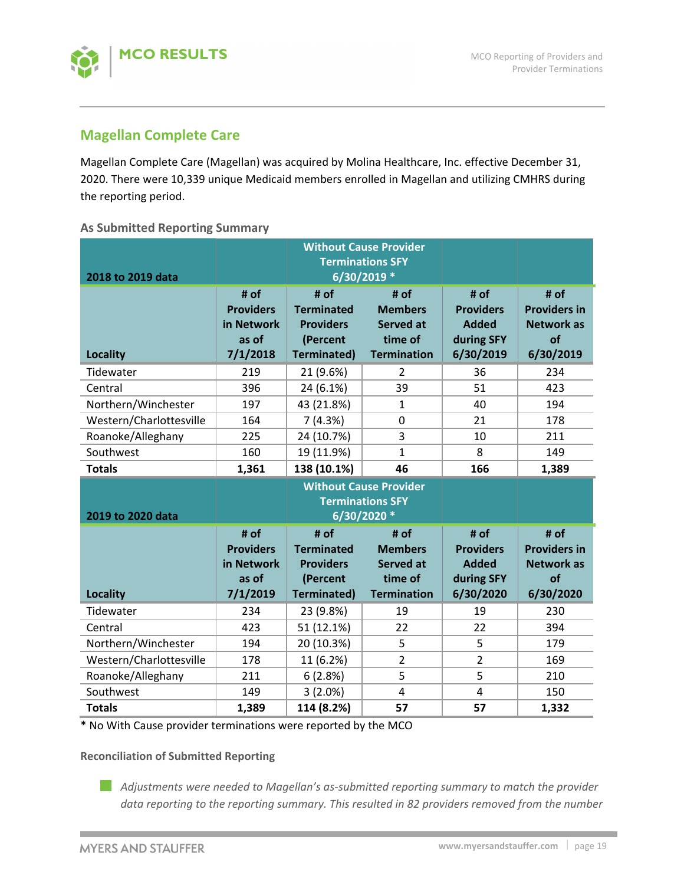



# **Magellan Complete Care**

Magellan Complete Care (Magellan) was acquired by Molina Healthcare, Inc. effective December 31, 2020. There were 10,339 unique Medicaid members enrolled in Magellan and utilizing CMHRS during the reporting period.

## **As Submitted Reporting Summary**

| 2018 to 2019 data<br><b>Locality</b><br>Tidewater | # of<br><b>Providers</b><br>in Network<br>as of<br>7/1/2018<br>219      | # of<br><b>Terminated</b><br><b>Providers</b><br>(Percent<br><b>Terminated)</b><br>21 (9.6%) | 6/30/2019 *<br># of<br><b>Members</b><br><b>Served at</b><br>time of<br><b>Termination</b><br>$\mathcal{P}$ | # of<br><b>Providers</b><br><b>Added</b><br>during SFY<br>6/30/2019<br>36 | # of<br><b>Providers in</b><br><b>Network as</b><br>of<br>6/30/2019<br>234 |  |
|---------------------------------------------------|-------------------------------------------------------------------------|----------------------------------------------------------------------------------------------|-------------------------------------------------------------------------------------------------------------|---------------------------------------------------------------------------|----------------------------------------------------------------------------|--|
| Central                                           | 396                                                                     | 24 (6.1%)                                                                                    | 39                                                                                                          | 51                                                                        | 423                                                                        |  |
| Northern/Winchester                               | 197                                                                     | 43 (21.8%)                                                                                   | 1                                                                                                           | 40                                                                        | 194                                                                        |  |
| Western/Charlottesville                           | 164                                                                     | 7(4.3%)                                                                                      | $\Omega$                                                                                                    | 21                                                                        | 178                                                                        |  |
| Roanoke/Alleghany                                 | 225                                                                     | 24 (10.7%)                                                                                   | 3                                                                                                           | 10                                                                        | 211                                                                        |  |
| Southwest                                         | 160                                                                     | 19 (11.9%)                                                                                   | $\mathbf{1}$                                                                                                | 8                                                                         | 149                                                                        |  |
| <b>Totals</b>                                     | 1,361                                                                   | 138 (10.1%)                                                                                  | 46                                                                                                          | 166                                                                       | 1,389                                                                      |  |
|                                                   | <b>Without Cause Provider</b><br><b>Terminations SFY</b><br>6/30/2020 * |                                                                                              |                                                                                                             |                                                                           |                                                                            |  |
| 2019 to 2020 data                                 |                                                                         |                                                                                              |                                                                                                             |                                                                           |                                                                            |  |
| <b>Locality</b>                                   | # of<br><b>Providers</b><br>in Network<br>as of<br>7/1/2019             | # of<br><b>Terminated</b><br><b>Providers</b><br>(Percent<br><b>Terminated)</b>              | # of<br><b>Members</b><br><b>Served at</b><br>time of<br><b>Termination</b>                                 | # of<br><b>Providers</b><br><b>Added</b><br>during SFY<br>6/30/2020       | # of<br><b>Providers in</b><br><b>Network as</b><br>of<br>6/30/2020        |  |
| Tidewater                                         | 234                                                                     | 23 (9.8%)                                                                                    | 19                                                                                                          | 19                                                                        | 230                                                                        |  |
| Central                                           | 423                                                                     | 51 (12.1%)                                                                                   | 22                                                                                                          | 22                                                                        | 394                                                                        |  |
| Northern/Winchester                               | 194                                                                     | 20 (10.3%)                                                                                   | 5                                                                                                           | 5                                                                         | 179                                                                        |  |
| Western/Charlottesville                           | 178                                                                     | 11 (6.2%)                                                                                    | $\overline{2}$                                                                                              | $\overline{2}$                                                            | 169                                                                        |  |
| Roanoke/Alleghany                                 | 211                                                                     | 6(2.8%)                                                                                      | 5                                                                                                           | 5                                                                         | 210                                                                        |  |
| Southwest                                         | 149                                                                     | 3(2.0%)                                                                                      | $\overline{4}$                                                                                              | 4                                                                         | 150                                                                        |  |

\* No With Cause provider terminations were reported by the MCO

**Reconciliation of Submitted Reporting** 

*Adjustments were needed to Magellan's as‐submitted reporting summary to match the provider data reporting to the reporting summary. This resulted in 82 providers removed from the number*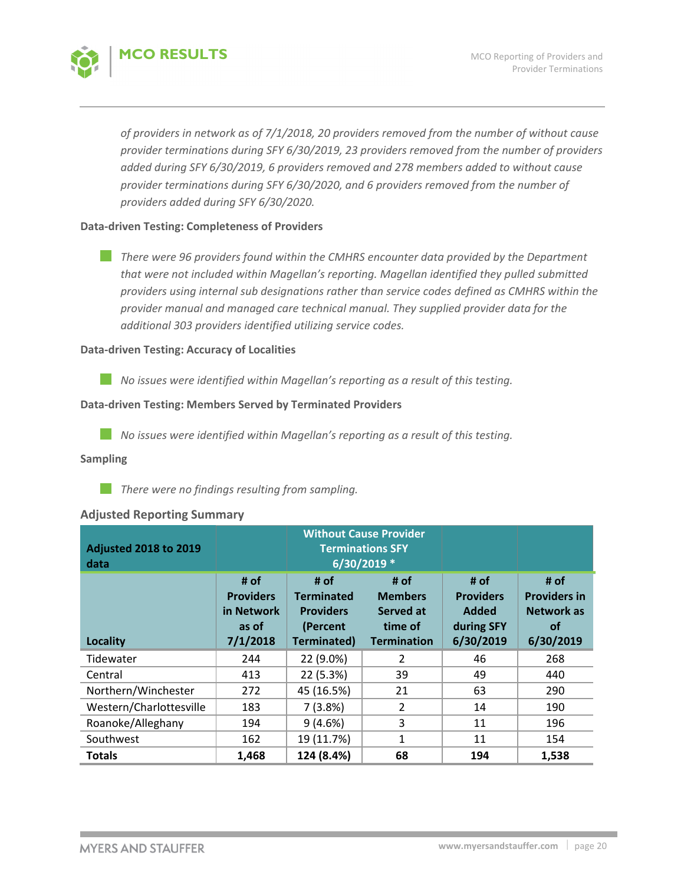

*of providers in network as of 7/1/2018, 20 providers removed from the number of without cause provider terminations during SFY 6/30/2019, 23 providers removed from the number of providers added during SFY 6/30/2019, 6 providers removed and 278 members added to without cause provider terminations during SFY 6/30/2020, and 6 providers removed from the number of providers added during SFY 6/30/2020.* 

### **Data‐driven Testing: Completeness of Providers**

*There were 96 providers found within the CMHRS encounter data provided by the Department that were not included within Magellan's reporting. Magellan identified they pulled submitted providers using internal sub designations rather than service codes defined as CMHRS within the provider manual and managed care technical manual. They supplied provider data for the additional 303 providers identified utilizing service codes.* 

## **Data‐driven Testing: Accuracy of Localities**

*No issues were identified within Magellan's reporting as a result of this testing.*

## **Data‐driven Testing: Members Served by Terminated Providers**

p. *No issues were identified within Magellan's reporting as a result of this testing.*

#### **Sampling**

*There were no findings resulting from sampling.*

## **Adjusted Reporting Summary**

| <b>Adjusted 2018 to 2019</b><br>data | <b>Without Cause Provider</b><br><b>Terminations SFY</b><br>$6/30/2019$ * |                                                                                 |                                                                      |                                                              |                                                                            |
|--------------------------------------|---------------------------------------------------------------------------|---------------------------------------------------------------------------------|----------------------------------------------------------------------|--------------------------------------------------------------|----------------------------------------------------------------------------|
| Locality                             | # of<br><b>Providers</b><br>in Network<br>as of<br>7/1/2018               | # of<br><b>Terminated</b><br><b>Providers</b><br>(Percent<br><b>Terminated)</b> | # of<br><b>Members</b><br>Served at<br>time of<br><b>Termination</b> | # of<br><b>Providers</b><br>Added<br>during SFY<br>6/30/2019 | # of<br><b>Providers in</b><br><b>Network as</b><br><b>of</b><br>6/30/2019 |
| Tidewater                            | 244                                                                       | 22 (9.0%)                                                                       | 2                                                                    | 46                                                           | 268                                                                        |
| Central                              | 413                                                                       | 22 (5.3%)                                                                       | 39                                                                   | 49                                                           | 440                                                                        |
| Northern/Winchester                  | 272                                                                       | 45 (16.5%)                                                                      | 21                                                                   | 63                                                           | 290                                                                        |
| Western/Charlottesville              | 183                                                                       | 7(3.8%)                                                                         | 2                                                                    | 14                                                           | 190                                                                        |
| Roanoke/Alleghany                    | 194                                                                       | 9(4.6%)                                                                         | 3                                                                    | 11                                                           | 196                                                                        |
| Southwest                            | 162                                                                       | 19 (11.7%)                                                                      | 1                                                                    | 11                                                           | 154                                                                        |
| <b>Totals</b>                        | 1,468                                                                     | 124 (8.4%)                                                                      | 68                                                                   | 194                                                          | 1,538                                                                      |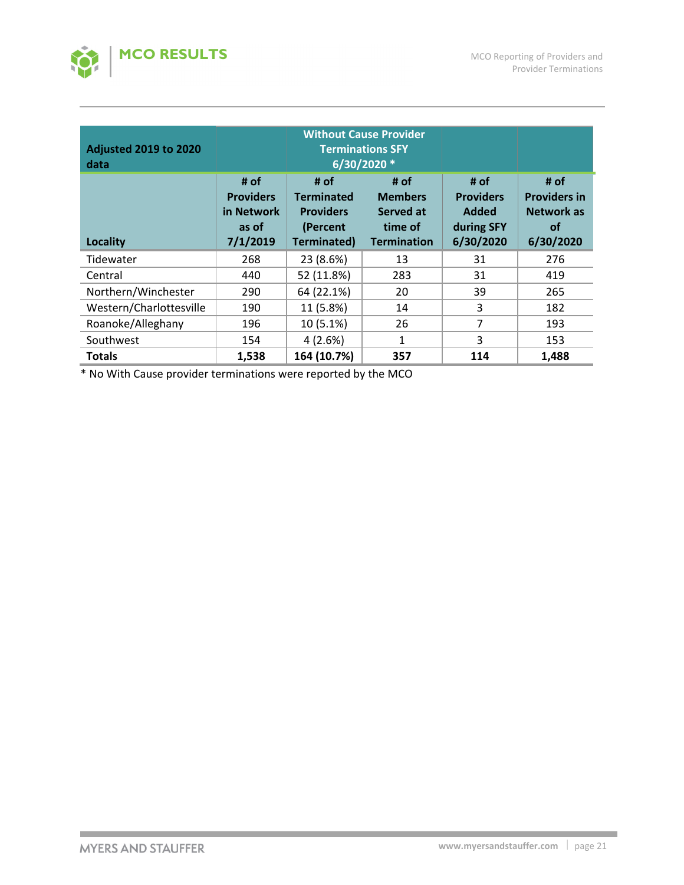

| <b>Adjusted 2019 to 2020</b><br>data | <b>Without Cause Provider</b><br><b>Terminations SFY</b><br>6/30/2020 * |                                                                          |                                                                      |                                                                     |                                                                            |  |
|--------------------------------------|-------------------------------------------------------------------------|--------------------------------------------------------------------------|----------------------------------------------------------------------|---------------------------------------------------------------------|----------------------------------------------------------------------------|--|
| Locality                             | # of<br><b>Providers</b><br>in Network<br>as of<br>7/1/2019             | # of<br><b>Terminated</b><br><b>Providers</b><br>(Percent<br>Terminated) | # of<br><b>Members</b><br>Served at<br>time of<br><b>Termination</b> | # of<br><b>Providers</b><br><b>Added</b><br>during SFY<br>6/30/2020 | # of<br><b>Providers in</b><br><b>Network as</b><br><b>of</b><br>6/30/2020 |  |
| Tidewater                            | 268                                                                     | 23 (8.6%)                                                                | 13                                                                   | 31                                                                  | 276                                                                        |  |
| Central                              | 440                                                                     | 52 (11.8%)                                                               | 283                                                                  | 31                                                                  | 419                                                                        |  |
| Northern/Winchester                  | 290                                                                     | 64 (22.1%)                                                               | 20                                                                   | 39                                                                  | 265                                                                        |  |
| Western/Charlottesville              | 190                                                                     | 11 (5.8%)                                                                | 14                                                                   | 3                                                                   | 182                                                                        |  |
| Roanoke/Alleghany                    | 196                                                                     | 10 (5.1%)                                                                | 26                                                                   | 7                                                                   | 193                                                                        |  |
| Southwest                            | 154                                                                     | 4(2.6%)                                                                  | $\mathbf{1}$                                                         | 3                                                                   | 153                                                                        |  |
| <b>Totals</b>                        | 1,538                                                                   | 164 (10.7%)                                                              | 357                                                                  | 114                                                                 | 1,488                                                                      |  |

\* No With Cause provider terminations were reported by the MCO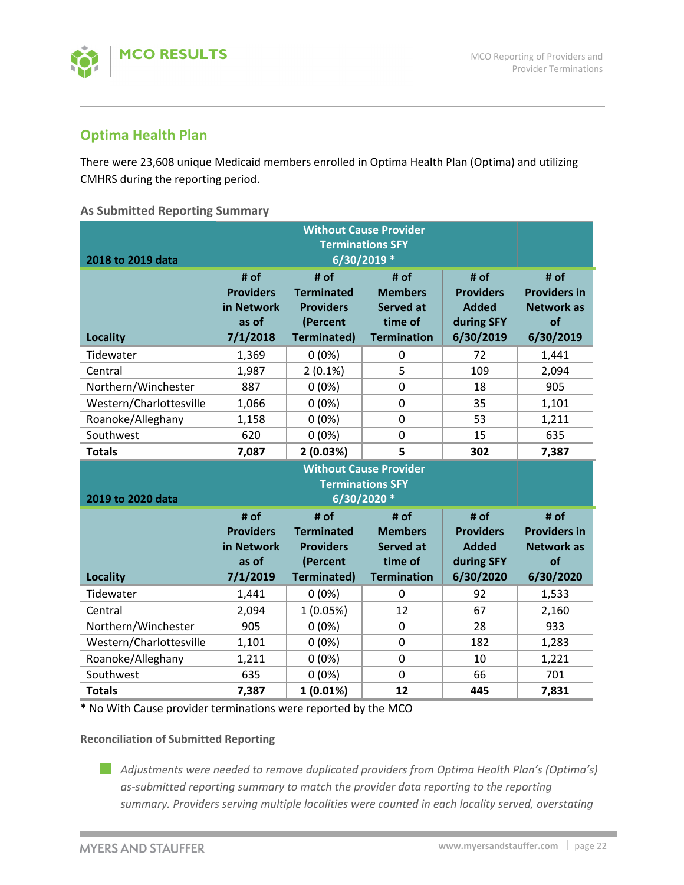

# **Optima Health Plan**

There were 23,608 unique Medicaid members enrolled in Optima Health Plan (Optima) and utilizing CMHRS during the reporting period.

## **As Submitted Reporting Summary**

| 2018 to 2019 data       |                                                             | <b>Without Cause Provider</b><br><b>Terminations SFY</b>                        |                                                                                            |                                                                     |                                                                     |
|-------------------------|-------------------------------------------------------------|---------------------------------------------------------------------------------|--------------------------------------------------------------------------------------------|---------------------------------------------------------------------|---------------------------------------------------------------------|
| <b>Locality</b>         | # of<br><b>Providers</b><br>in Network<br>as of<br>7/1/2018 | # of<br><b>Terminated</b><br><b>Providers</b><br>(Percent<br><b>Terminated)</b> | 6/30/2019 *<br># of<br><b>Members</b><br><b>Served at</b><br>time of<br><b>Termination</b> | # of<br><b>Providers</b><br><b>Added</b><br>during SFY<br>6/30/2019 | # of<br><b>Providers in</b><br><b>Network as</b><br>of<br>6/30/2019 |
| Tidewater               | 1,369                                                       | $0(0\%)$                                                                        | 0                                                                                          | 72                                                                  | 1,441                                                               |
| Central                 | 1,987                                                       | $2(0.1\%)$                                                                      | 5                                                                                          | 109                                                                 | 2,094                                                               |
| Northern/Winchester     | 887                                                         | $0(0\%)$                                                                        | 0                                                                                          | 18                                                                  | 905                                                                 |
| Western/Charlottesville | 1,066                                                       | $0(0\%)$                                                                        | $\mathbf 0$                                                                                | 35                                                                  | 1,101                                                               |
| Roanoke/Alleghany       | 1,158                                                       | $0(0\%)$                                                                        | $\overline{0}$                                                                             | 53                                                                  | 1,211                                                               |
| Southwest               | 620                                                         | $0(0\%)$                                                                        | $\mathbf 0$                                                                                | 15                                                                  | 635                                                                 |
| <b>Totals</b>           | 7,087                                                       | 2(0.03%)                                                                        | 5                                                                                          | 302                                                                 | 7,387                                                               |
|                         |                                                             |                                                                                 |                                                                                            |                                                                     |                                                                     |
| 2019 to 2020 data       |                                                             |                                                                                 | <b>Without Cause Provider</b><br><b>Terminations SFY</b><br>6/30/2020 *                    |                                                                     |                                                                     |
| <b>Locality</b>         | # of<br><b>Providers</b><br>in Network<br>as of<br>7/1/2019 | # of<br><b>Terminated</b><br><b>Providers</b><br>(Percent<br>Terminated)        | # of<br><b>Members</b><br><b>Served at</b><br>time of<br><b>Termination</b>                | # of<br><b>Providers</b><br><b>Added</b><br>during SFY<br>6/30/2020 | # of<br><b>Providers in</b><br><b>Network as</b><br>of<br>6/30/2020 |
| Tidewater               | 1,441                                                       | $0(0\%)$                                                                        | 0                                                                                          | 92                                                                  | 1,533                                                               |
| Central                 | 2,094                                                       | 1(0.05%)                                                                        | 12                                                                                         | 67                                                                  | 2,160                                                               |
| Northern/Winchester     | 905                                                         | 0(0%)                                                                           | $\overline{0}$                                                                             | 28                                                                  | 933                                                                 |
| Western/Charlottesville | 1,101                                                       | $0(0\%)$                                                                        | 0                                                                                          | 182                                                                 | 1,283                                                               |
| Roanoke/Alleghany       | 1,211                                                       | $0(0\%)$                                                                        | $\mathbf 0$                                                                                | 10                                                                  | 1,221                                                               |
| Southwest               | 635                                                         | $0(0\%)$                                                                        | $\mathbf 0$                                                                                | 66                                                                  | 701                                                                 |

\* No With Cause provider terminations were reported by the MCO

# **Reconciliation of Submitted Reporting**

*Adjustments were needed to remove duplicated providers from Optima Health Plan's (Optima's) as‐submitted reporting summary to match the provider data reporting to the reporting summary. Providers serving multiple localities were counted in each locality served, overstating*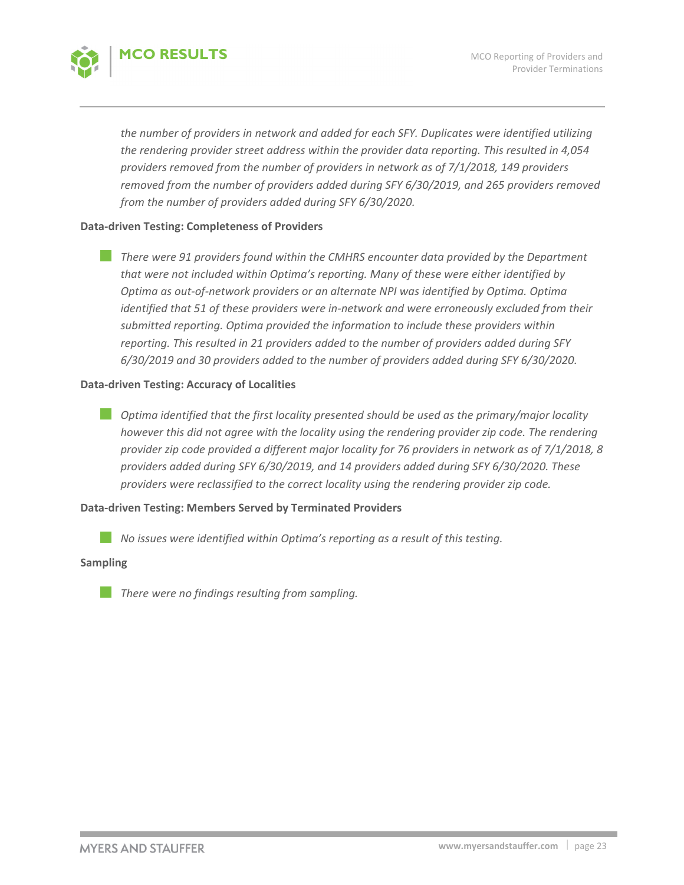

*the number of providers in network and added for each SFY. Duplicates were identified utilizing the rendering provider street address within the provider data reporting. This resulted in 4,054 providers removed from the number of providers in network as of 7/1/2018, 149 providers removed from the number of providers added during SFY 6/30/2019, and 265 providers removed from the number of providers added during SFY 6/30/2020.* 

#### **Data‐driven Testing: Completeness of Providers**

*There were 91 providers found within the CMHRS encounter data provided by the Department that were not included within Optima's reporting. Many of these were either identified by Optima as out‐of‐network providers or an alternate NPI was identified by Optima. Optima identified that 51 of these providers were in‐network and were erroneously excluded from their submitted reporting. Optima provided the information to include these providers within reporting. This resulted in 21 providers added to the number of providers added during SFY 6/30/2019 and 30 providers added to the number of providers added during SFY 6/30/2020.* 

#### **Data‐driven Testing: Accuracy of Localities**

*Optima identified that the first locality presented should be used as the primary/major locality however this did not agree with the locality using the rendering provider zip code. The rendering provider zip code provided a different major locality for 76 providers in network as of 7/1/2018, 8 providers added during SFY 6/30/2019, and 14 providers added during SFY 6/30/2020. These providers were reclassified to the correct locality using the rendering provider zip code.*

## **Data‐driven Testing: Members Served by Terminated Providers**

*No issues were identified within Optima's reporting as a result of this testing.*

#### **Sampling**

*There were no findings resulting from sampling.*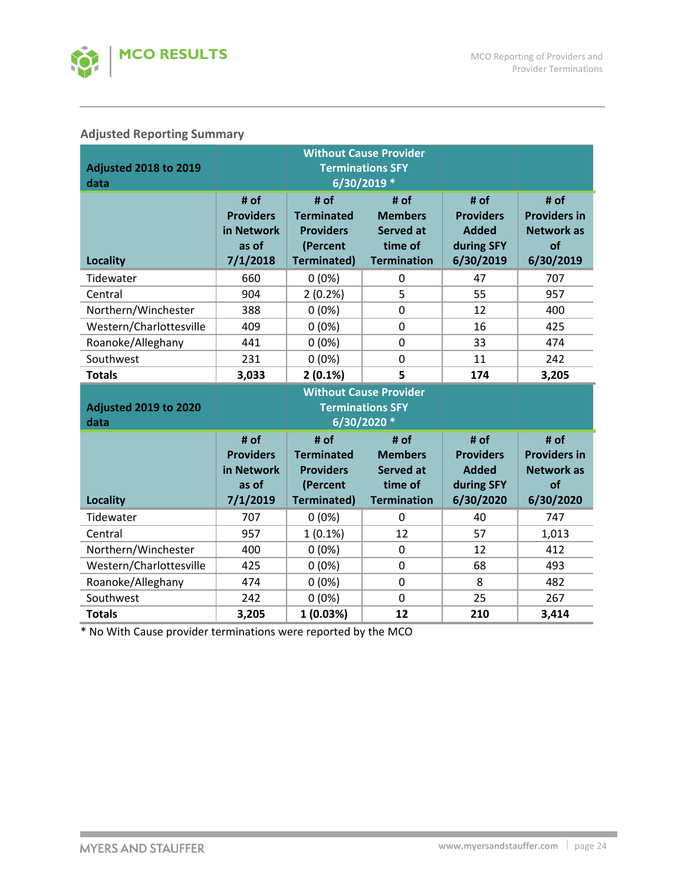

# **Adjusted Reporting Summary**

|                              |                                | <b>Without Cause Provider</b>         |                                    |                                  |                                          |
|------------------------------|--------------------------------|---------------------------------------|------------------------------------|----------------------------------|------------------------------------------|
| <b>Adjusted 2018 to 2019</b> |                                | <b>Terminations SFY</b>               |                                    |                                  |                                          |
| data                         |                                | 6/30/2019 *                           |                                    |                                  |                                          |
|                              | # of                           | # of                                  | # of                               | # of                             | # of                                     |
|                              | <b>Providers</b><br>in Network | <b>Terminated</b><br><b>Providers</b> | <b>Members</b><br><b>Served at</b> | <b>Providers</b><br><b>Added</b> | <b>Providers in</b><br><b>Network as</b> |
|                              | as of                          | (Percent                              | time of                            | during SFY                       | of                                       |
| <b>Locality</b>              | 7/1/2018                       | <b>Terminated)</b>                    | <b>Termination</b>                 | 6/30/2019                        | 6/30/2019                                |
| Tidewater                    | 660                            | $0(0\%)$                              | $\mathbf 0$                        | 47                               | 707                                      |
| Central                      | 904                            | $2(0.2\%)$                            | 5                                  | 55                               | 957                                      |
| Northern/Winchester          | 388                            | $0(0\%)$                              | $\mathbf 0$                        | 12                               | 400                                      |
| Western/Charlottesville      | 409                            | $0(0\%)$                              | 0                                  | 16                               | 425                                      |
| Roanoke/Alleghany            | 441                            | $0(0\%)$                              | $\overline{0}$                     | 33                               | 474                                      |
| Southwest                    | 231                            | $0(0\%)$                              | $\overline{0}$                     | 11                               | 242                                      |
| <b>Totals</b>                | 3,033                          | 2(0.1%)                               | 5                                  | 174                              | 3,205                                    |
|                              |                                |                                       |                                    |                                  |                                          |
|                              |                                |                                       | <b>Without Cause Provider</b>      |                                  |                                          |
| <b>Adjusted 2019 to 2020</b> |                                |                                       | <b>Terminations SFY</b>            |                                  |                                          |
| data                         |                                |                                       | 6/30/2020 *                        |                                  |                                          |
|                              | # of                           | # of                                  | # of                               | # of                             | # of                                     |
|                              | <b>Providers</b>               | <b>Terminated</b>                     | <b>Members</b>                     | <b>Providers</b>                 | <b>Providers in</b>                      |
|                              | in Network                     | <b>Providers</b>                      | <b>Served at</b>                   | <b>Added</b>                     | <b>Network as</b>                        |
|                              | as of                          | (Percent                              | time of                            | during SFY                       | of                                       |
| <b>Locality</b>              | 7/1/2019                       | <b>Terminated)</b>                    | <b>Termination</b>                 | 6/30/2020                        | 6/30/2020                                |
| Tidewater                    | 707                            | $0(0\%)$                              | $\mathbf 0$                        | 40                               | 747                                      |
| Central                      | 957                            | $1(0.1\%)$                            | 12                                 | 57                               | 1,013                                    |
| Northern/Winchester          | 400                            | $0(0\%)$                              | 0                                  | 12                               | 412                                      |
| Western/Charlottesville      | 425                            | $0(0\%)$                              | $\overline{0}$                     | 68                               | 493                                      |
| Roanoke/Alleghany            | 474                            | $0(0\%)$                              | $\mathbf 0$                        | 8                                | 482                                      |
| Southwest                    | 242                            | $0(0\%)$                              | $\overline{0}$                     | 25                               | 267                                      |

\* No With Cause provider terminations were reported by the MCO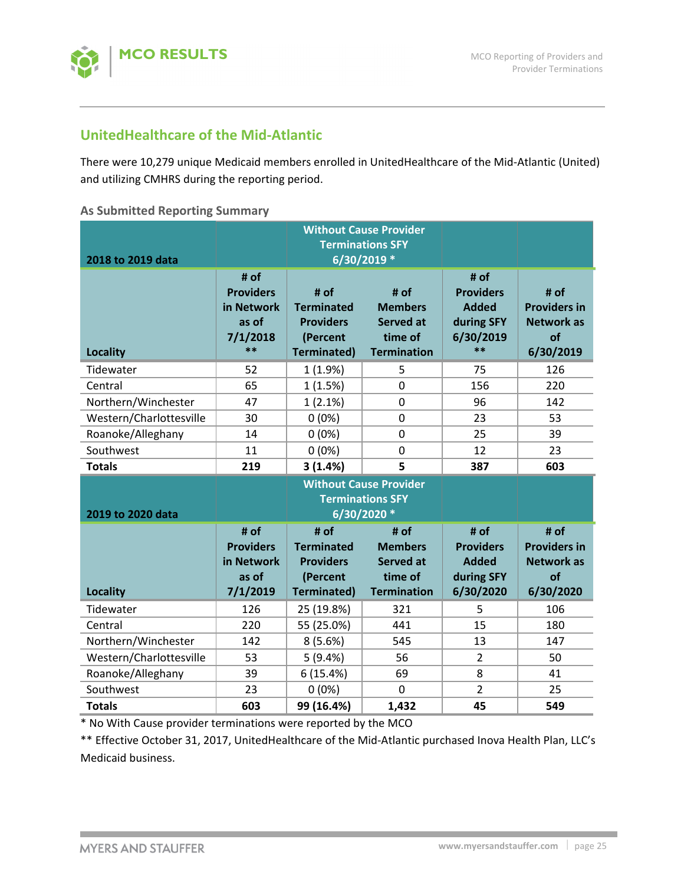

# **UnitedHealthcare of the Mid‐Atlantic**

There were 10,279 unique Medicaid members enrolled in UnitedHealthcare of the Mid‐Atlantic (United) and utilizing CMHRS during the reporting period.

#### **As Submitted Reporting Summary**

|                                      |                                                                     | <b>Without Cause Provider</b><br><b>Terminations SFY</b>                        |                                                                                              |                                                                           |                                                                     |
|--------------------------------------|---------------------------------------------------------------------|---------------------------------------------------------------------------------|----------------------------------------------------------------------------------------------|---------------------------------------------------------------------------|---------------------------------------------------------------------|
| 2018 to 2019 data<br><b>Locality</b> | # of<br><b>Providers</b><br>in Network<br>as of<br>7/1/2018<br>$**$ | # of<br><b>Terminated</b><br><b>Providers</b><br>(Percent<br><b>Terminated)</b> | 6/30/2019 *<br>$#$ of<br><b>Members</b><br><b>Served at</b><br>time of<br><b>Termination</b> | # of<br><b>Providers</b><br><b>Added</b><br>during SFY<br>6/30/2019<br>** | # of<br><b>Providers in</b><br><b>Network as</b><br>of<br>6/30/2019 |
| Tidewater                            | 52                                                                  | 1(1.9%)                                                                         | 5                                                                                            | 75                                                                        | 126                                                                 |
| Central                              | 65                                                                  | 1(1.5%)                                                                         | $\overline{0}$                                                                               | 156                                                                       | 220                                                                 |
| Northern/Winchester                  | 47                                                                  | 1(2.1%)                                                                         | $\mathbf 0$                                                                                  | 96                                                                        | 142                                                                 |
| Western/Charlottesville              | 30                                                                  | $0(0\%)$                                                                        | $\mathbf 0$                                                                                  | 23                                                                        | 53                                                                  |
| Roanoke/Alleghany                    | 14                                                                  | $0(0\%)$                                                                        | $\mathbf 0$                                                                                  | 25                                                                        | 39                                                                  |
| Southwest                            | 11                                                                  | 0(0%)                                                                           | $\overline{0}$                                                                               | 12                                                                        | 23                                                                  |
| <b>Totals</b>                        | 219                                                                 | 3(1.4%)                                                                         | 5                                                                                            | 387                                                                       | 603                                                                 |
| 2019 to 2020 data                    |                                                                     |                                                                                 | <b>Without Cause Provider</b><br><b>Terminations SFY</b><br>6/30/2020 *                      |                                                                           |                                                                     |
| <b>Locality</b>                      | # of<br><b>Providers</b><br>in Network<br>as of<br>7/1/2019         | # of<br><b>Terminated</b><br><b>Providers</b><br>(Percent<br><b>Terminated)</b> | # of<br><b>Members</b><br><b>Served at</b><br>time of<br><b>Termination</b>                  | # of<br><b>Providers</b><br><b>Added</b><br>during SFY<br>6/30/2020       | # of<br><b>Providers in</b><br><b>Network as</b><br>of<br>6/30/2020 |
| Tidewater                            |                                                                     |                                                                                 |                                                                                              |                                                                           |                                                                     |
| Central                              | 126                                                                 | 25 (19.8%)                                                                      | 321                                                                                          | 5                                                                         | 106                                                                 |
|                                      | 220                                                                 | 55 (25.0%)                                                                      | 441                                                                                          | 15                                                                        | 180                                                                 |
| Northern/Winchester                  | 142                                                                 | 8(5.6%)                                                                         | 545                                                                                          | 13                                                                        | 147                                                                 |
| Western/Charlottesville              | 53                                                                  | 5(9.4%)                                                                         | 56                                                                                           | $\overline{2}$                                                            | 50                                                                  |
| Roanoke/Alleghany                    | 39                                                                  | 6(15.4%)                                                                        | 69                                                                                           | 8                                                                         | 41                                                                  |
| Southwest                            | 23                                                                  | $0(0\%)$                                                                        | $\overline{0}$                                                                               | $\overline{2}$                                                            | 25                                                                  |

\* No With Cause provider terminations were reported by the MCO

\*\* Effective October 31, 2017, UnitedHealthcare of the Mid‐Atlantic purchased Inova Health Plan, LLC's Medicaid business.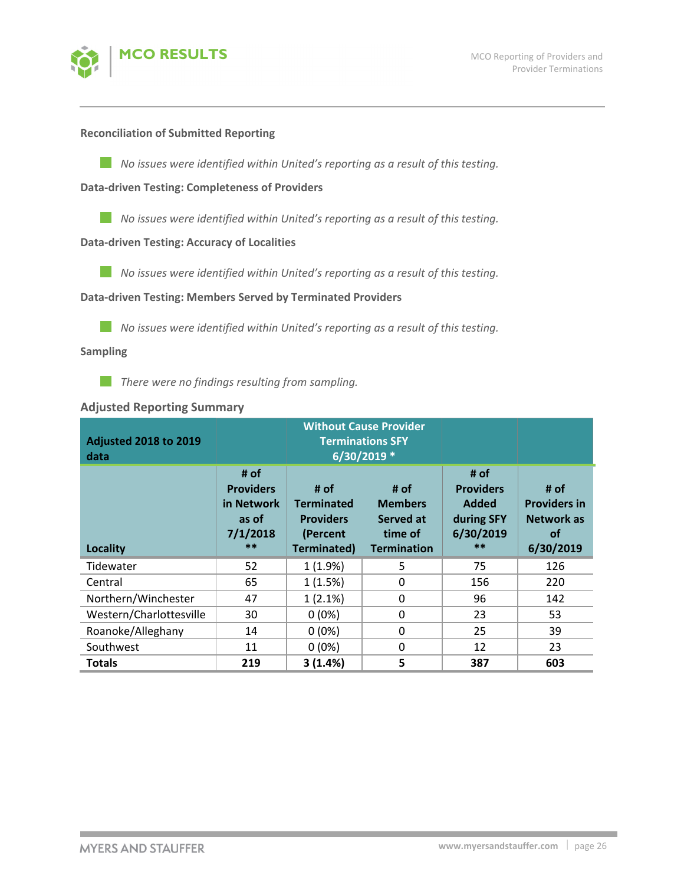

#### **Reconciliation of Submitted Reporting**

*No issues were identified within United's reporting as a result of this testing.*

**Data‐driven Testing: Completeness of Providers**

*No issues were identified within United's reporting as a result of this testing.*

#### **Data‐driven Testing: Accuracy of Localities**

*No issues were identified within United's reporting as a result of this testing.*

**Data‐driven Testing: Members Served by Terminated Providers**

*No issues were identified within United's reporting as a result of this testing.*

#### **Sampling**

*There were no findings resulting from sampling.*

## **Adjusted Reporting Summary**

| <b>Adjusted 2018 to 2019</b><br>data | <b>Without Cause Provider</b><br><b>Terminations SFY</b><br>6/30/2019 * |                                                                                 |                                                                      |                                                                             |                                                                            |
|--------------------------------------|-------------------------------------------------------------------------|---------------------------------------------------------------------------------|----------------------------------------------------------------------|-----------------------------------------------------------------------------|----------------------------------------------------------------------------|
| Locality                             | # of<br><b>Providers</b><br>in Network<br>as of<br>7/1/2018<br>$**$     | # of<br><b>Terminated</b><br><b>Providers</b><br>(Percent<br><b>Terminated)</b> | # of<br><b>Members</b><br>Served at<br>time of<br><b>Termination</b> | # of<br><b>Providers</b><br><b>Added</b><br>during SFY<br>6/30/2019<br>$**$ | # of<br><b>Providers in</b><br><b>Network as</b><br><b>of</b><br>6/30/2019 |
| Tidewater                            | 52                                                                      | 1(1.9%)                                                                         | 5                                                                    | 75                                                                          | 126                                                                        |
| Central                              | 65                                                                      | 1(1.5%)                                                                         | $\Omega$                                                             | 156                                                                         | 220                                                                        |
| Northern/Winchester                  | 47                                                                      | 1(2.1%)                                                                         | 0                                                                    | 96                                                                          | 142                                                                        |
| Western/Charlottesville              | 30                                                                      | $0(0\%)$                                                                        | 0                                                                    | 23                                                                          | 53                                                                         |
| Roanoke/Alleghany                    | 14                                                                      | $0(0\%)$                                                                        | 0                                                                    | 25                                                                          | 39                                                                         |
| Southwest                            | 11                                                                      | $0(0\%)$                                                                        | $\Omega$                                                             | 12                                                                          | 23                                                                         |
| <b>Totals</b>                        | 219                                                                     | 3(1.4%)                                                                         | 5                                                                    | 387                                                                         | 603                                                                        |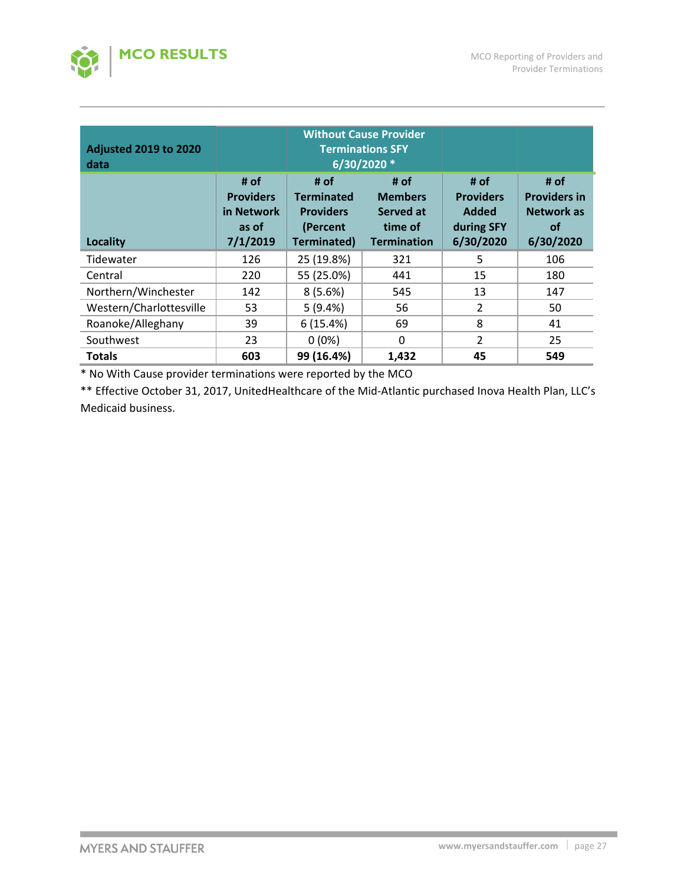

| <b>Adjusted 2019 to 2020</b><br>data | <b>Without Cause Provider</b><br><b>Terminations SFY</b><br>6/30/2020 * |                                                                                 |                                                                      |                                                                     |                                                                     |  |
|--------------------------------------|-------------------------------------------------------------------------|---------------------------------------------------------------------------------|----------------------------------------------------------------------|---------------------------------------------------------------------|---------------------------------------------------------------------|--|
| <b>Locality</b>                      | # of<br><b>Providers</b><br>in Network<br>as of<br>7/1/2019             | # of<br><b>Terminated</b><br><b>Providers</b><br>(Percent<br><b>Terminated)</b> | # of<br><b>Members</b><br>Served at<br>time of<br><b>Termination</b> | # of<br><b>Providers</b><br><b>Added</b><br>during SFY<br>6/30/2020 | # of<br><b>Providers in</b><br>Network as<br><b>of</b><br>6/30/2020 |  |
| Tidewater                            | 126                                                                     | 25 (19.8%)                                                                      | 321                                                                  | 5                                                                   | 106                                                                 |  |
| Central                              | 220                                                                     | 55 (25.0%)                                                                      | 441                                                                  | 15                                                                  | 180                                                                 |  |
| Northern/Winchester                  | 142                                                                     | 8(5.6%)                                                                         | 545                                                                  | 13                                                                  | 147                                                                 |  |
| Western/Charlottesville              | 53                                                                      | 5(9.4%)                                                                         | 56                                                                   | $\overline{2}$                                                      | 50                                                                  |  |
| Roanoke/Alleghany                    | 39                                                                      | 6(15.4%)                                                                        | 69                                                                   | 8                                                                   | 41                                                                  |  |
| Southwest                            | 23                                                                      | $0(0\%)$                                                                        | 0                                                                    | 2                                                                   | 25                                                                  |  |
| <b>Totals</b>                        | 603                                                                     | 99 (16.4%)                                                                      | 1,432                                                                | 45                                                                  | 549                                                                 |  |

\* No With Cause provider terminations were reported by the MCO

\*\* Effective October 31, 2017, UnitedHealthcare of the Mid‐Atlantic purchased Inova Health Plan, LLC's Medicaid business.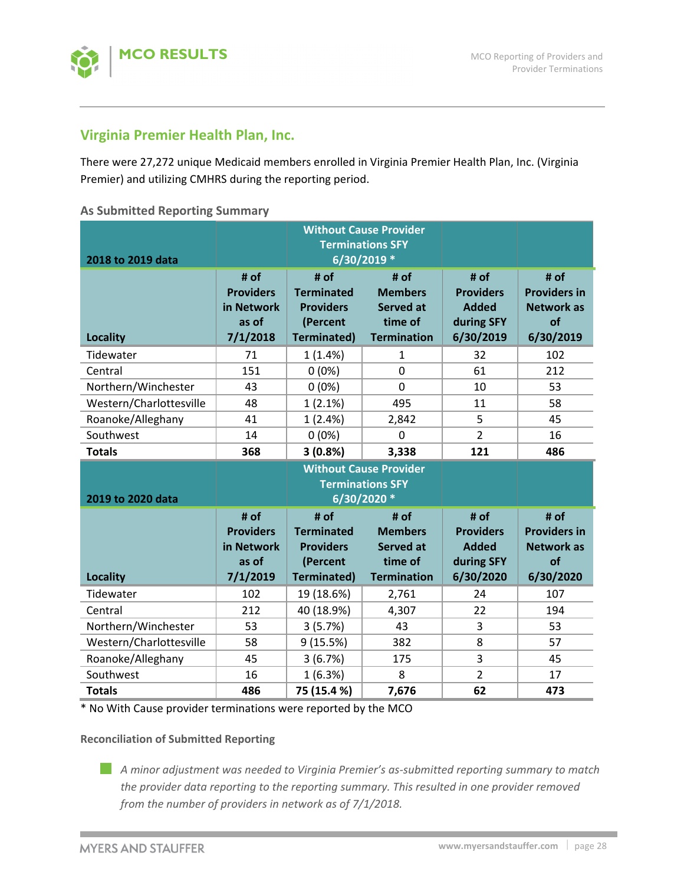

# **Virginia Premier Health Plan, Inc.**

There were 27,272 unique Medicaid members enrolled in Virginia Premier Health Plan, Inc. (Virginia Premier) and utilizing CMHRS during the reporting period.

## **As Submitted Reporting Summary**

|                                      |                                                                         | <b>Without Cause Provider</b><br><b>Terminations SFY</b>                        |                                                                                             |                                                                     |                                                                     |  |
|--------------------------------------|-------------------------------------------------------------------------|---------------------------------------------------------------------------------|---------------------------------------------------------------------------------------------|---------------------------------------------------------------------|---------------------------------------------------------------------|--|
| 2018 to 2019 data<br><b>Locality</b> | # of<br><b>Providers</b><br>in Network<br>as of<br>7/1/2018             | # of<br><b>Terminated</b><br><b>Providers</b><br>(Percent<br><b>Terminated)</b> | $6/30/2019*$<br># of<br><b>Members</b><br><b>Served at</b><br>time of<br><b>Termination</b> | # of<br><b>Providers</b><br><b>Added</b><br>during SFY<br>6/30/2019 | # of<br><b>Providers in</b><br><b>Network as</b><br>of<br>6/30/2019 |  |
| Tidewater                            | 71                                                                      | 1(1.4%)                                                                         | $\mathbf{1}$                                                                                | 32                                                                  | 102                                                                 |  |
| Central                              | 151                                                                     | $0(0\%)$                                                                        | $\overline{0}$                                                                              | 61                                                                  | 212                                                                 |  |
| Northern/Winchester                  | 43                                                                      | $0(0\%)$                                                                        | 0                                                                                           | 10                                                                  | 53                                                                  |  |
| Western/Charlottesville              | 48                                                                      | 1(2.1%)                                                                         | 495                                                                                         | 11                                                                  | 58                                                                  |  |
| Roanoke/Alleghany                    | 41                                                                      | 1(2.4%)                                                                         | 2,842                                                                                       | 5                                                                   | 45                                                                  |  |
| Southwest                            | 14                                                                      | $0(0\%)$                                                                        | $\mathbf 0$                                                                                 | $\overline{2}$                                                      | 16                                                                  |  |
| <b>Totals</b>                        | 368                                                                     | 3(0.8%)                                                                         | 3,338                                                                                       | 121                                                                 | 486                                                                 |  |
|                                      | <b>Without Cause Provider</b><br><b>Terminations SFY</b><br>6/30/2020 * |                                                                                 |                                                                                             |                                                                     |                                                                     |  |
| 2019 to 2020 data                    |                                                                         |                                                                                 |                                                                                             |                                                                     |                                                                     |  |
| <b>Locality</b>                      | # of<br><b>Providers</b><br>in Network<br>as of<br>7/1/2019             | # of<br><b>Terminated</b><br><b>Providers</b><br>(Percent<br><b>Terminated)</b> | # of<br><b>Members</b><br><b>Served at</b><br>time of<br><b>Termination</b>                 | # of<br><b>Providers</b><br><b>Added</b><br>during SFY<br>6/30/2020 | # of<br><b>Providers in</b><br><b>Network as</b><br>of<br>6/30/2020 |  |
| Tidewater                            | 102                                                                     | 19 (18.6%)                                                                      | 2,761                                                                                       | 24                                                                  | 107                                                                 |  |
| Central                              | 212                                                                     | 40 (18.9%)                                                                      | 4,307                                                                                       | 22                                                                  | 194                                                                 |  |
| Northern/Winchester                  | 53                                                                      | 3(5.7%)                                                                         | 43                                                                                          | 3                                                                   | 53                                                                  |  |
| Western/Charlottesville              | 58                                                                      | 9(15.5%)                                                                        | 382                                                                                         | 8                                                                   | 57                                                                  |  |
| Roanoke/Alleghany                    | 45                                                                      | 3(6.7%)                                                                         | 175                                                                                         | 3                                                                   | 45                                                                  |  |
| Southwest                            | 16                                                                      | 1(6.3%)                                                                         | 8                                                                                           | $\overline{2}$                                                      | 17                                                                  |  |

\* No With Cause provider terminations were reported by the MCO

## **Reconciliation of Submitted Reporting**

*A minor adjustment was needed to Virginia Premier's as‐submitted reporting summary to match the provider data reporting to the reporting summary. This resulted in one provider removed from the number of providers in network as of 7/1/2018.*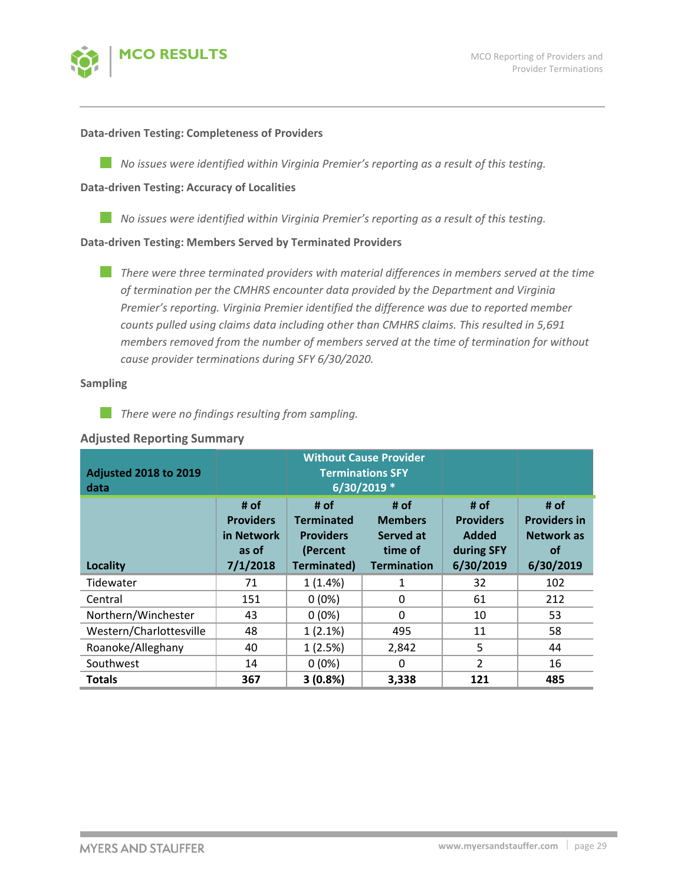

#### **Data‐driven Testing: Completeness of Providers**

*No issues were identified within Virginia Premier's reporting as a result of this testing.*

#### **Data‐driven Testing: Accuracy of Localities**

*No issues were identified within Virginia Premier's reporting as a result of this testing.*

## **Data‐driven Testing: Members Served by Terminated Providers**

*There were three terminated providers with material differences in members served at the time of termination per the CMHRS encounter data provided by the Department and Virginia Premier's reporting. Virginia Premier identified the difference was due to reported member counts pulled using claims data including other than CMHRS claims. This resulted in 5,691 members removed from the number of members served at the time of termination for without cause provider terminations during SFY 6/30/2020.*

#### **Sampling**

**College** *There were no findings resulting from sampling.*

## **Adjusted Reporting Summary**

| <b>Adjusted 2018 to 2019</b><br>data | <b>Without Cause Provider</b><br><b>Terminations SFY</b><br>6/30/2019 * |                                                                                 |                                                                      |                                                                     |                                                                            |  |
|--------------------------------------|-------------------------------------------------------------------------|---------------------------------------------------------------------------------|----------------------------------------------------------------------|---------------------------------------------------------------------|----------------------------------------------------------------------------|--|
| Locality                             | # of<br><b>Providers</b><br>in Network<br>as of<br>7/1/2018             | # of<br><b>Terminated</b><br><b>Providers</b><br>(Percent<br><b>Terminated)</b> | # of<br><b>Members</b><br>Served at<br>time of<br><b>Termination</b> | # of<br><b>Providers</b><br><b>Added</b><br>during SFY<br>6/30/2019 | # of<br><b>Providers in</b><br><b>Network as</b><br><b>of</b><br>6/30/2019 |  |
| Tidewater                            | 71                                                                      | 1(1.4%)                                                                         | 1                                                                    | 32                                                                  | 102                                                                        |  |
| Central                              | 151                                                                     | $0(0\%)$                                                                        | $\mathbf{0}$                                                         | 61                                                                  | 212                                                                        |  |
| Northern/Winchester                  | 43                                                                      | $0(0\%)$                                                                        | $\Omega$                                                             | 10                                                                  | 53                                                                         |  |
| Western/Charlottesville              | 48                                                                      | $1(2.1\%)$                                                                      | 495                                                                  | 11                                                                  | 58                                                                         |  |
| Roanoke/Alleghany                    | 40                                                                      | 1(2.5%)                                                                         | 2,842                                                                | 5                                                                   | 44                                                                         |  |
| Southwest                            | 14                                                                      | $0(0\%)$                                                                        | 0                                                                    | $\overline{2}$                                                      | 16                                                                         |  |
| <b>Totals</b>                        | 367                                                                     | 3(0.8%)                                                                         | 3,338                                                                | 121                                                                 | 485                                                                        |  |